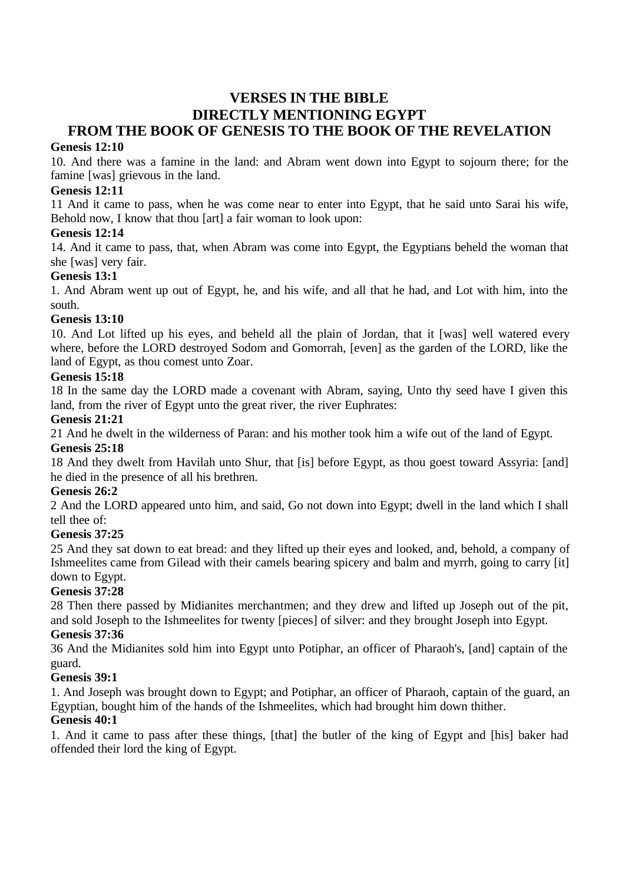# **VERSES IN THE BIBLE DIRECTLY MENTIONING EGYPT FROM THE BOOK OF GENESIS TO THE BOOK OF THE REVELATION**

# **Genesis 12:10**

10. And there was a famine in the land: and Abram went down into Egypt to sojourn there; for the famine [was] grievous in the land.

## **Genesis 12:11**

11 And it came to pass, when he was come near to enter into Egypt, that he said unto Sarai his wife, Behold now, I know that thou [art] a fair woman to look upon:

# **Genesis 12:14**

14. And it came to pass, that, when Abram was come into Egypt, the Egyptians beheld the woman that she [was] very fair.

# **Genesis 13:1**

1. And Abram went up out of Egypt, he, and his wife, and all that he had, and Lot with him, into the south.

# **Genesis 13:10**

10. And Lot lifted up his eyes, and beheld all the plain of Jordan, that it [was] well watered every where, before the LORD destroyed Sodom and Gomorrah, [even] as the garden of the LORD, like the land of Egypt, as thou comest unto Zoar.

## **Genesis 15:18**

18 In the same day the LORD made a covenant with Abram, saying, Unto thy seed have I given this land, from the river of Egypt unto the great river, the river Euphrates:

## **Genesis 21:21**

21 And he dwelt in the wilderness of Paran: and his mother took him a wife out of the land of Egypt.

## **Genesis 25:18**

18 And they dwelt from Havilah unto Shur, that [is] before Egypt, as thou goest toward Assyria: [and] he died in the presence of all his brethren.

# **Genesis 26:2**

2 And the LORD appeared unto him, and said, Go not down into Egypt; dwell in the land which I shall tell thee of:

# **Genesis 37:25**

25 And they sat down to eat bread: and they lifted up their eyes and looked, and, behold, a company of Ishmeelites came from Gilead with their camels bearing spicery and balm and myrrh, going to carry [it] down to Egypt.

# **Genesis 37:28**

28 Then there passed by Midianites merchantmen; and they drew and lifted up Joseph out of the pit, and sold Joseph to the Ishmeelites for twenty [pieces] of silver: and they brought Joseph into Egypt.

# **Genesis 37:36**

36 And the Midianites sold him into Egypt unto Potiphar, an officer of Pharaoh's, [and] captain of the guard.

# **Genesis 39:1**

1. And Joseph was brought down to Egypt; and Potiphar, an officer of Pharaoh, captain of the guard, an Egyptian, bought him of the hands of the Ishmeelites, which had brought him down thither.

## **Genesis 40:1**

1. And it came to pass after these things, [that] the butler of the king of Egypt and [his] baker had offended their lord the king of Egypt.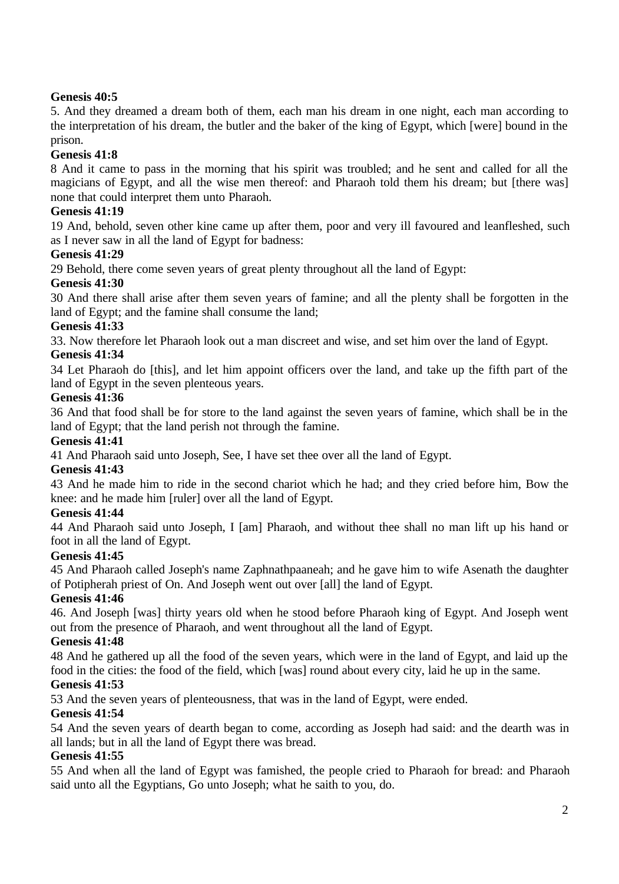# **Genesis 40:5**

5. And they dreamed a dream both of them, each man his dream in one night, each man according to the interpretation of his dream, the butler and the baker of the king of Egypt, which [were] bound in the prison.

# **Genesis 41:8**

8 And it came to pass in the morning that his spirit was troubled; and he sent and called for all the magicians of Egypt, and all the wise men thereof: and Pharaoh told them his dream; but [there was] none that could interpret them unto Pharaoh.

# **Genesis 41:19**

19 And, behold, seven other kine came up after them, poor and very ill favoured and leanfleshed, such as I never saw in all the land of Egypt for badness:

# **Genesis 41:29**

29 Behold, there come seven years of great plenty throughout all the land of Egypt:

# **Genesis 41:30**

30 And there shall arise after them seven years of famine; and all the plenty shall be forgotten in the land of Egypt; and the famine shall consume the land;

# **Genesis 41:33**

33. Now therefore let Pharaoh look out a man discreet and wise, and set him over the land of Egypt.

# **Genesis 41:34**

34 Let Pharaoh do [this], and let him appoint officers over the land, and take up the fifth part of the land of Egypt in the seven plenteous years.

# **Genesis 41:36**

36 And that food shall be for store to the land against the seven years of famine, which shall be in the land of Egypt; that the land perish not through the famine.

# **Genesis 41:41**

41 And Pharaoh said unto Joseph, See, I have set thee over all the land of Egypt.

# **Genesis 41:43**

43 And he made him to ride in the second chariot which he had; and they cried before him, Bow the knee: and he made him [ruler] over all the land of Egypt.

# **Genesis 41:44**

44 And Pharaoh said unto Joseph, I [am] Pharaoh, and without thee shall no man lift up his hand or foot in all the land of Egypt.

# **Genesis 41:45**

45 And Pharaoh called Joseph's name Zaphnathpaaneah; and he gave him to wife Asenath the daughter of Potipherah priest of On. And Joseph went out over [all] the land of Egypt.

# **Genesis 41:46**

46. And Joseph [was] thirty years old when he stood before Pharaoh king of Egypt. And Joseph went out from the presence of Pharaoh, and went throughout all the land of Egypt.

# **Genesis 41:48**

48 And he gathered up all the food of the seven years, which were in the land of Egypt, and laid up the food in the cities: the food of the field, which [was] round about every city, laid he up in the same.

# **Genesis 41:53**

53 And the seven years of plenteousness, that was in the land of Egypt, were ended.

# **Genesis 41:54**

54 And the seven years of dearth began to come, according as Joseph had said: and the dearth was in all lands; but in all the land of Egypt there was bread.

# **Genesis 41:55**

55 And when all the land of Egypt was famished, the people cried to Pharaoh for bread: and Pharaoh said unto all the Egyptians, Go unto Joseph; what he saith to you, do.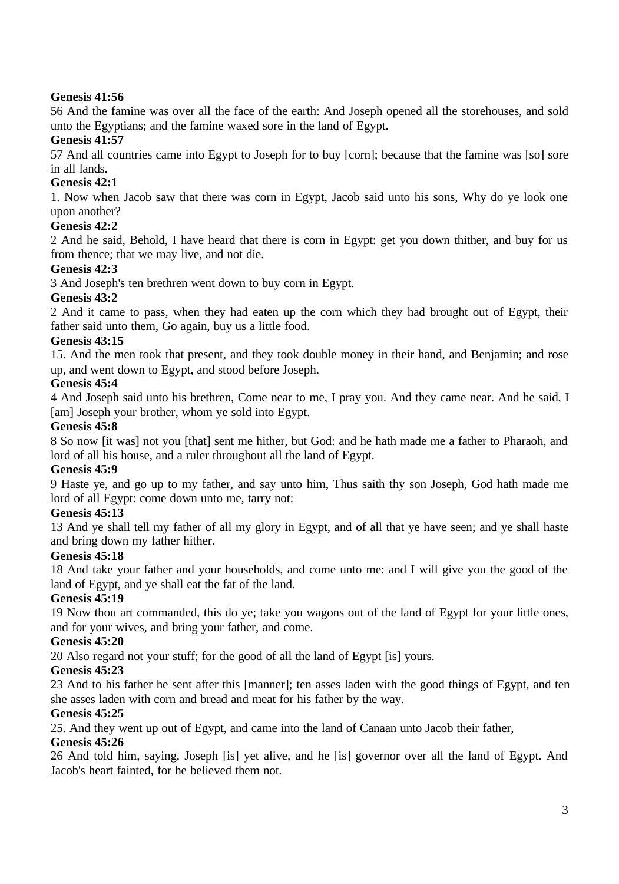# **Genesis 41:56**

56 And the famine was over all the face of the earth: And Joseph opened all the storehouses, and sold unto the Egyptians; and the famine waxed sore in the land of Egypt.

# **Genesis 41:57**

57 And all countries came into Egypt to Joseph for to buy [corn]; because that the famine was [so] sore in all lands.

# **Genesis 42:1**

1. Now when Jacob saw that there was corn in Egypt, Jacob said unto his sons, Why do ye look one upon another?

# **Genesis 42:2**

2 And he said, Behold, I have heard that there is corn in Egypt: get you down thither, and buy for us from thence; that we may live, and not die.

# **Genesis 42:3**

3 And Joseph's ten brethren went down to buy corn in Egypt.

# **Genesis 43:2**

2 And it came to pass, when they had eaten up the corn which they had brought out of Egypt, their father said unto them, Go again, buy us a little food.

# **Genesis 43:15**

15. And the men took that present, and they took double money in their hand, and Benjamin; and rose up, and went down to Egypt, and stood before Joseph.

# **Genesis 45:4**

4 And Joseph said unto his brethren, Come near to me, I pray you. And they came near. And he said, I [am] Joseph your brother, whom ye sold into Egypt.

# **Genesis 45:8**

8 So now [it was] not you [that] sent me hither, but God: and he hath made me a father to Pharaoh, and lord of all his house, and a ruler throughout all the land of Egypt.

# **Genesis 45:9**

9 Haste ye, and go up to my father, and say unto him, Thus saith thy son Joseph, God hath made me lord of all Egypt: come down unto me, tarry not:

# **Genesis 45:13**

13 And ye shall tell my father of all my glory in Egypt, and of all that ye have seen; and ye shall haste and bring down my father hither.

# **Genesis 45:18**

18 And take your father and your households, and come unto me: and I will give you the good of the land of Egypt, and ye shall eat the fat of the land.

# **Genesis 45:19**

19 Now thou art commanded, this do ye; take you wagons out of the land of Egypt for your little ones, and for your wives, and bring your father, and come.

# **Genesis 45:20**

20 Also regard not your stuff; for the good of all the land of Egypt [is] yours.

# **Genesis 45:23**

23 And to his father he sent after this [manner]; ten asses laden with the good things of Egypt, and ten she asses laden with corn and bread and meat for his father by the way.

# **Genesis 45:25**

25. And they went up out of Egypt, and came into the land of Canaan unto Jacob their father,

# **Genesis 45:26**

26 And told him, saying, Joseph [is] yet alive, and he [is] governor over all the land of Egypt. And Jacob's heart fainted, for he believed them not.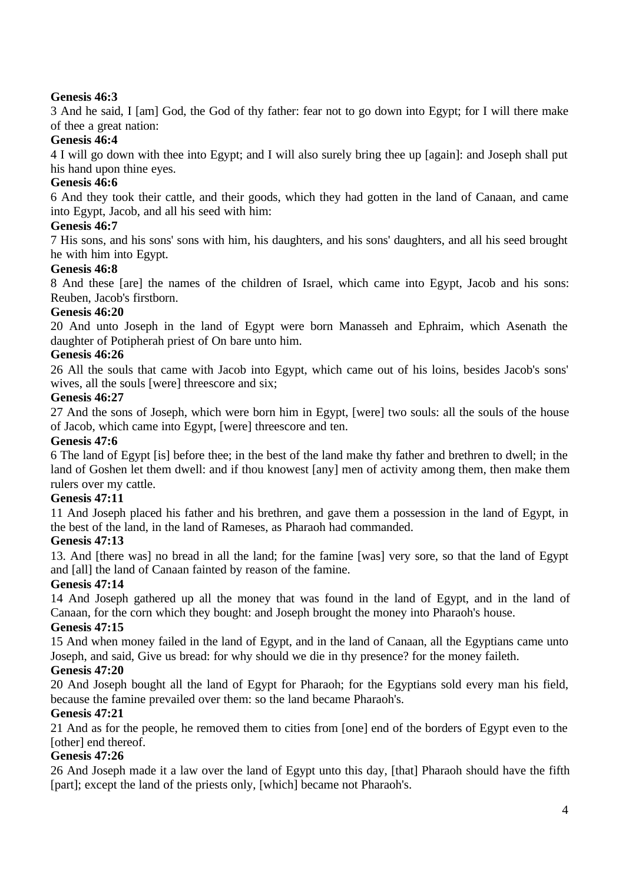# **Genesis 46:3**

3 And he said, I [am] God, the God of thy father: fear not to go down into Egypt; for I will there make of thee a great nation:

## **Genesis 46:4**

4 I will go down with thee into Egypt; and I will also surely bring thee up [again]: and Joseph shall put his hand upon thine eyes.

## **Genesis 46:6**

6 And they took their cattle, and their goods, which they had gotten in the land of Canaan, and came into Egypt, Jacob, and all his seed with him:

## **Genesis 46:7**

7 His sons, and his sons' sons with him, his daughters, and his sons' daughters, and all his seed brought he with him into Egypt.

## **Genesis 46:8**

8 And these [are] the names of the children of Israel, which came into Egypt, Jacob and his sons: Reuben, Jacob's firstborn.

## **Genesis 46:20**

20 And unto Joseph in the land of Egypt were born Manasseh and Ephraim, which Asenath the daughter of Potipherah priest of On bare unto him.

## **Genesis 46:26**

26 All the souls that came with Jacob into Egypt, which came out of his loins, besides Jacob's sons' wives, all the souls [were] threescore and six;

## **Genesis 46:27**

27 And the sons of Joseph, which were born him in Egypt, [were] two souls: all the souls of the house of Jacob, which came into Egypt, [were] threescore and ten.

## **Genesis 47:6**

6 The land of Egypt [is] before thee; in the best of the land make thy father and brethren to dwell; in the land of Goshen let them dwell: and if thou knowest [any] men of activity among them, then make them rulers over my cattle.

## **Genesis 47:11**

11 And Joseph placed his father and his brethren, and gave them a possession in the land of Egypt, in the best of the land, in the land of Rameses, as Pharaoh had commanded.

## **Genesis 47:13**

13. And [there was] no bread in all the land; for the famine [was] very sore, so that the land of Egypt and [all] the land of Canaan fainted by reason of the famine.

# **Genesis 47:14**

14 And Joseph gathered up all the money that was found in the land of Egypt, and in the land of Canaan, for the corn which they bought: and Joseph brought the money into Pharaoh's house.

## **Genesis 47:15**

15 And when money failed in the land of Egypt, and in the land of Canaan, all the Egyptians came unto Joseph, and said, Give us bread: for why should we die in thy presence? for the money faileth.

## **Genesis 47:20**

20 And Joseph bought all the land of Egypt for Pharaoh; for the Egyptians sold every man his field, because the famine prevailed over them: so the land became Pharaoh's.

## **Genesis 47:21**

21 And as for the people, he removed them to cities from [one] end of the borders of Egypt even to the [other] end thereof.

# **Genesis 47:26**

26 And Joseph made it a law over the land of Egypt unto this day, [that] Pharaoh should have the fifth [part]; except the land of the priests only, [which] became not Pharaoh's.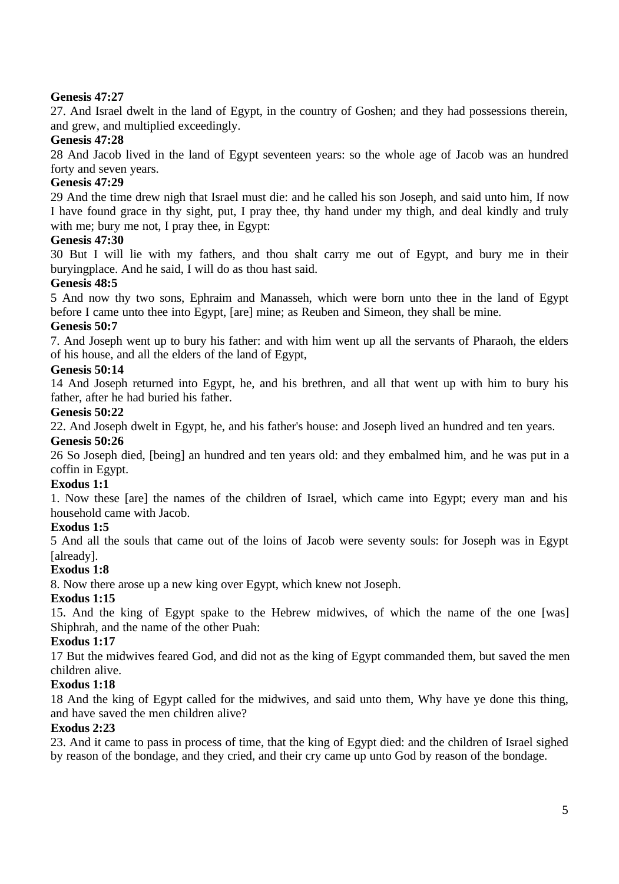# **Genesis 47:27**

27. And Israel dwelt in the land of Egypt, in the country of Goshen; and they had possessions therein, and grew, and multiplied exceedingly.

## **Genesis 47:28**

28 And Jacob lived in the land of Egypt seventeen years: so the whole age of Jacob was an hundred forty and seven years.

## **Genesis 47:29**

29 And the time drew nigh that Israel must die: and he called his son Joseph, and said unto him, If now I have found grace in thy sight, put, I pray thee, thy hand under my thigh, and deal kindly and truly with me; bury me not, I pray thee, in Egypt:

## **Genesis 47:30**

30 But I will lie with my fathers, and thou shalt carry me out of Egypt, and bury me in their buryingplace. And he said, I will do as thou hast said.

## **Genesis 48:5**

5 And now thy two sons, Ephraim and Manasseh, which were born unto thee in the land of Egypt before I came unto thee into Egypt, [are] mine; as Reuben and Simeon, they shall be mine.

## **Genesis 50:7**

7. And Joseph went up to bury his father: and with him went up all the servants of Pharaoh, the elders of his house, and all the elders of the land of Egypt,

## **Genesis 50:14**

14 And Joseph returned into Egypt, he, and his brethren, and all that went up with him to bury his father, after he had buried his father.

## **Genesis 50:22**

22. And Joseph dwelt in Egypt, he, and his father's house: and Joseph lived an hundred and ten years.

## **Genesis 50:26**

26 So Joseph died, [being] an hundred and ten years old: and they embalmed him, and he was put in a coffin in Egypt.

## **Exodus 1:1**

1. Now these [are] the names of the children of Israel, which came into Egypt; every man and his household came with Jacob.

# **Exodus 1:5**

5 And all the souls that came out of the loins of Jacob were seventy souls: for Joseph was in Egypt [already].

## **Exodus 1:8**

8. Now there arose up a new king over Egypt, which knew not Joseph.

## **Exodus 1:15**

15. And the king of Egypt spake to the Hebrew midwives, of which the name of the one [was] Shiphrah, and the name of the other Puah:

## **Exodus 1:17**

17 But the midwives feared God, and did not as the king of Egypt commanded them, but saved the men children alive.

## **Exodus 1:18**

18 And the king of Egypt called for the midwives, and said unto them, Why have ye done this thing, and have saved the men children alive?

## **Exodus 2:23**

23. And it came to pass in process of time, that the king of Egypt died: and the children of Israel sighed by reason of the bondage, and they cried, and their cry came up unto God by reason of the bondage.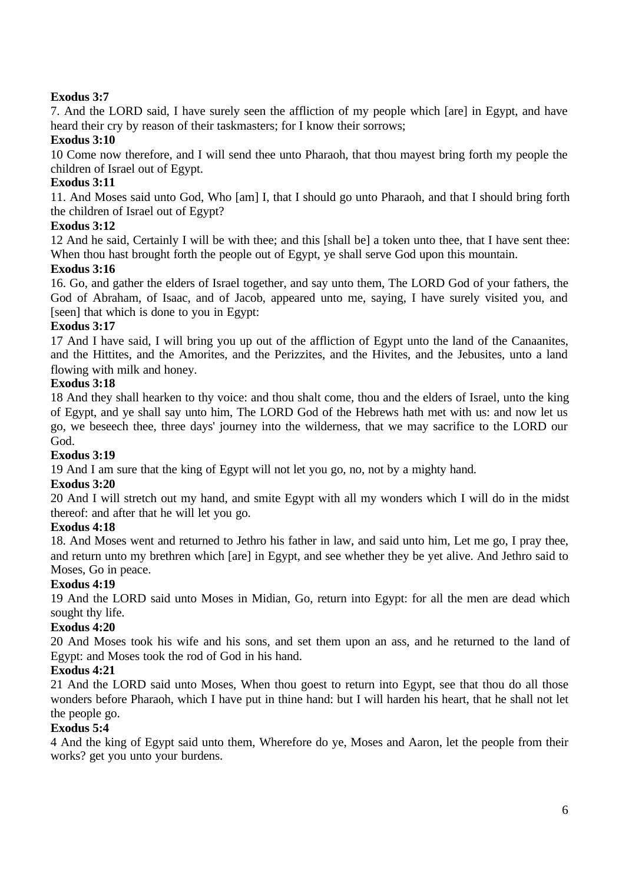# **Exodus 3:7**

7. And the LORD said, I have surely seen the affliction of my people which [are] in Egypt, and have heard their cry by reason of their taskmasters; for I know their sorrows;

## **Exodus 3:10**

10 Come now therefore, and I will send thee unto Pharaoh, that thou mayest bring forth my people the children of Israel out of Egypt.

## **Exodus 3:11**

11. And Moses said unto God, Who [am] I, that I should go unto Pharaoh, and that I should bring forth the children of Israel out of Egypt?

## **Exodus 3:12**

12 And he said, Certainly I will be with thee; and this [shall be] a token unto thee, that I have sent thee: When thou hast brought forth the people out of Egypt, ye shall serve God upon this mountain.

## **Exodus 3:16**

16. Go, and gather the elders of Israel together, and say unto them, The LORD God of your fathers, the God of Abraham, of Isaac, and of Jacob, appeared unto me, saying, I have surely visited you, and [seen] that which is done to you in Egypt:

## **Exodus 3:17**

17 And I have said, I will bring you up out of the affliction of Egypt unto the land of the Canaanites, and the Hittites, and the Amorites, and the Perizzites, and the Hivites, and the Jebusites, unto a land flowing with milk and honey.

## **Exodus 3:18**

18 And they shall hearken to thy voice: and thou shalt come, thou and the elders of Israel, unto the king of Egypt, and ye shall say unto him, The LORD God of the Hebrews hath met with us: and now let us go, we beseech thee, three days' journey into the wilderness, that we may sacrifice to the LORD our God.

# **Exodus 3:19**

19 And I am sure that the king of Egypt will not let you go, no, not by a mighty hand.

## **Exodus 3:20**

20 And I will stretch out my hand, and smite Egypt with all my wonders which I will do in the midst thereof: and after that he will let you go.

# **Exodus 4:18**

18. And Moses went and returned to Jethro his father in law, and said unto him, Let me go, I pray thee, and return unto my brethren which [are] in Egypt, and see whether they be yet alive. And Jethro said to Moses, Go in peace.

## **Exodus 4:19**

19 And the LORD said unto Moses in Midian, Go, return into Egypt: for all the men are dead which sought thy life.

## **Exodus 4:20**

20 And Moses took his wife and his sons, and set them upon an ass, and he returned to the land of Egypt: and Moses took the rod of God in his hand.

## **Exodus 4:21**

21 And the LORD said unto Moses, When thou goest to return into Egypt, see that thou do all those wonders before Pharaoh, which I have put in thine hand: but I will harden his heart, that he shall not let the people go.

## **Exodus 5:4**

4 And the king of Egypt said unto them, Wherefore do ye, Moses and Aaron, let the people from their works? get you unto your burdens.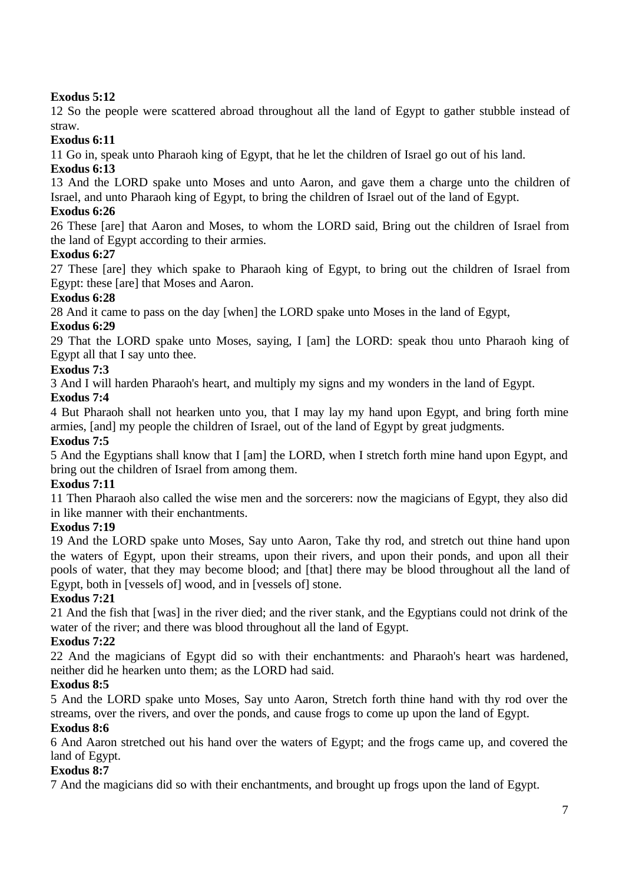# **Exodus 5:12**

12 So the people were scattered abroad throughout all the land of Egypt to gather stubble instead of straw.

# **Exodus 6:11**

11 Go in, speak unto Pharaoh king of Egypt, that he let the children of Israel go out of his land.

## **Exodus 6:13**

13 And the LORD spake unto Moses and unto Aaron, and gave them a charge unto the children of Israel, and unto Pharaoh king of Egypt, to bring the children of Israel out of the land of Egypt.

## **Exodus 6:26**

26 These [are] that Aaron and Moses, to whom the LORD said, Bring out the children of Israel from the land of Egypt according to their armies.

# **Exodus 6:27**

27 These [are] they which spake to Pharaoh king of Egypt, to bring out the children of Israel from Egypt: these [are] that Moses and Aaron.

# **Exodus 6:28**

28 And it came to pass on the day [when] the LORD spake unto Moses in the land of Egypt,

## **Exodus 6:29**

29 That the LORD spake unto Moses, saying, I [am] the LORD: speak thou unto Pharaoh king of Egypt all that I say unto thee.

# **Exodus 7:3**

3 And I will harden Pharaoh's heart, and multiply my signs and my wonders in the land of Egypt.

## **Exodus 7:4**

4 But Pharaoh shall not hearken unto you, that I may lay my hand upon Egypt, and bring forth mine armies, [and] my people the children of Israel, out of the land of Egypt by great judgments.

## **Exodus 7:5**

5 And the Egyptians shall know that I [am] the LORD, when I stretch forth mine hand upon Egypt, and bring out the children of Israel from among them.

# **Exodus 7:11**

11 Then Pharaoh also called the wise men and the sorcerers: now the magicians of Egypt, they also did in like manner with their enchantments.

# **Exodus 7:19**

19 And the LORD spake unto Moses, Say unto Aaron, Take thy rod, and stretch out thine hand upon the waters of Egypt, upon their streams, upon their rivers, and upon their ponds, and upon all their pools of water, that they may become blood; and [that] there may be blood throughout all the land of Egypt, both in [vessels of] wood, and in [vessels of] stone.

# **Exodus 7:21**

21 And the fish that [was] in the river died; and the river stank, and the Egyptians could not drink of the water of the river; and there was blood throughout all the land of Egypt.

## **Exodus 7:22**

22 And the magicians of Egypt did so with their enchantments: and Pharaoh's heart was hardened, neither did he hearken unto them; as the LORD had said.

# **Exodus 8:5**

5 And the LORD spake unto Moses, Say unto Aaron, Stretch forth thine hand with thy rod over the streams, over the rivers, and over the ponds, and cause frogs to come up upon the land of Egypt.

## **Exodus 8:6**

6 And Aaron stretched out his hand over the waters of Egypt; and the frogs came up, and covered the land of Egypt.

## **Exodus 8:7**

7 And the magicians did so with their enchantments, and brought up frogs upon the land of Egypt.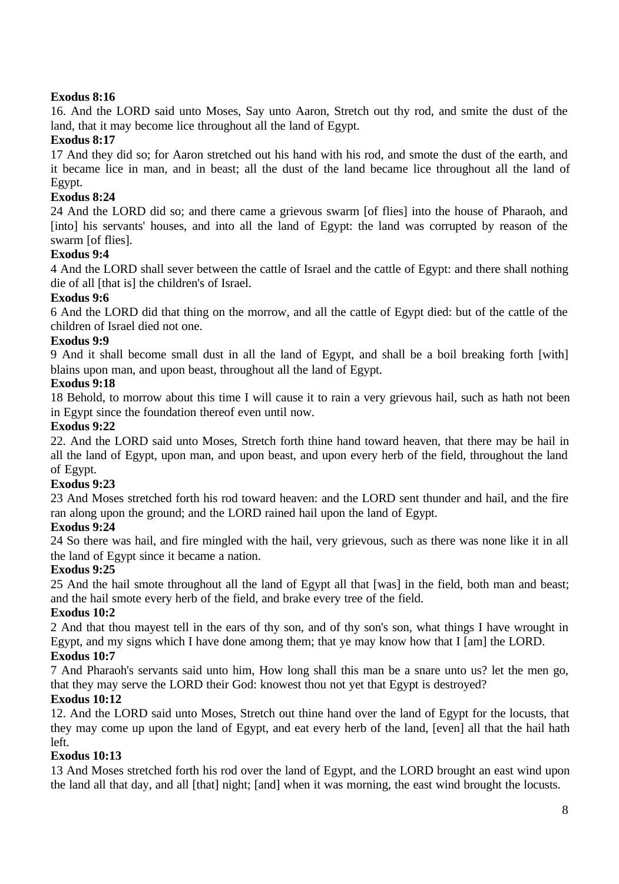# **Exodus 8:16**

16. And the LORD said unto Moses, Say unto Aaron, Stretch out thy rod, and smite the dust of the land, that it may become lice throughout all the land of Egypt.

# **Exodus 8:17**

17 And they did so; for Aaron stretched out his hand with his rod, and smote the dust of the earth, and it became lice in man, and in beast; all the dust of the land became lice throughout all the land of Egypt.

## **Exodus 8:24**

24 And the LORD did so; and there came a grievous swarm [of flies] into the house of Pharaoh, and [into] his servants' houses, and into all the land of Egypt: the land was corrupted by reason of the swarm [of flies].

# **Exodus 9:4**

4 And the LORD shall sever between the cattle of Israel and the cattle of Egypt: and there shall nothing die of all [that is] the children's of Israel.

## **Exodus 9:6**

6 And the LORD did that thing on the morrow, and all the cattle of Egypt died: but of the cattle of the children of Israel died not one.

## **Exodus 9:9**

9 And it shall become small dust in all the land of Egypt, and shall be a boil breaking forth [with] blains upon man, and upon beast, throughout all the land of Egypt.

## **Exodus 9:18**

18 Behold, to morrow about this time I will cause it to rain a very grievous hail, such as hath not been in Egypt since the foundation thereof even until now.

## **Exodus 9:22**

22. And the LORD said unto Moses, Stretch forth thine hand toward heaven, that there may be hail in all the land of Egypt, upon man, and upon beast, and upon every herb of the field, throughout the land of Egypt.

## **Exodus 9:23**

23 And Moses stretched forth his rod toward heaven: and the LORD sent thunder and hail, and the fire ran along upon the ground; and the LORD rained hail upon the land of Egypt.

# **Exodus 9:24**

24 So there was hail, and fire mingled with the hail, very grievous, such as there was none like it in all the land of Egypt since it became a nation.

# **Exodus 9:25**

25 And the hail smote throughout all the land of Egypt all that [was] in the field, both man and beast; and the hail smote every herb of the field, and brake every tree of the field.

## **Exodus 10:2**

2 And that thou mayest tell in the ears of thy son, and of thy son's son, what things I have wrought in Egypt, and my signs which I have done among them; that ye may know how that I [am] the LORD.

## **Exodus 10:7**

7 And Pharaoh's servants said unto him, How long shall this man be a snare unto us? let the men go, that they may serve the LORD their God: knowest thou not yet that Egypt is destroyed?

## **Exodus 10:12**

12. And the LORD said unto Moses, Stretch out thine hand over the land of Egypt for the locusts, that they may come up upon the land of Egypt, and eat every herb of the land, [even] all that the hail hath left.

## **Exodus 10:13**

13 And Moses stretched forth his rod over the land of Egypt, and the LORD brought an east wind upon the land all that day, and all [that] night; [and] when it was morning, the east wind brought the locusts.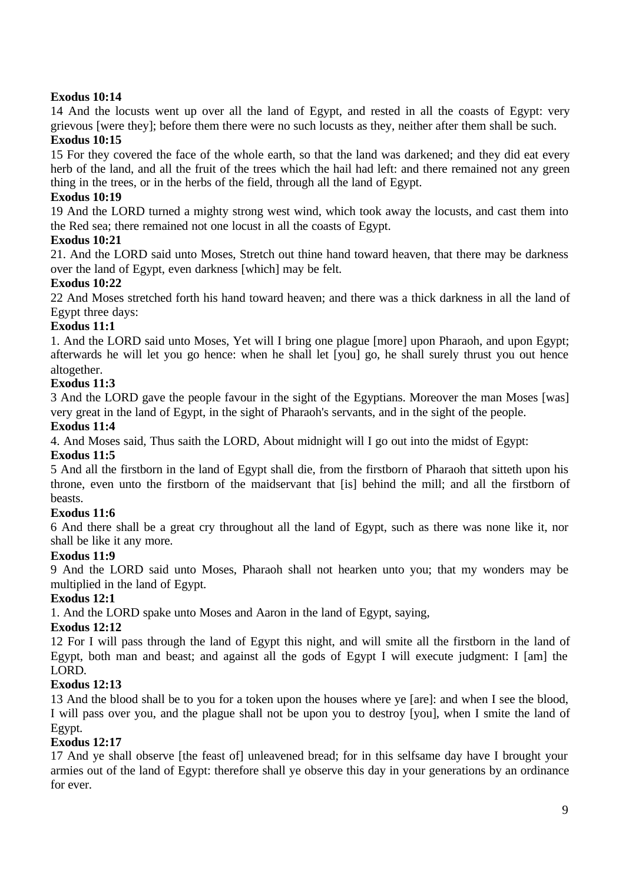# **Exodus 10:14**

14 And the locusts went up over all the land of Egypt, and rested in all the coasts of Egypt: very grievous [were they]; before them there were no such locusts as they, neither after them shall be such.

## **Exodus 10:15**

15 For they covered the face of the whole earth, so that the land was darkened; and they did eat every herb of the land, and all the fruit of the trees which the hail had left: and there remained not any green thing in the trees, or in the herbs of the field, through all the land of Egypt.

## **Exodus 10:19**

19 And the LORD turned a mighty strong west wind, which took away the locusts, and cast them into the Red sea; there remained not one locust in all the coasts of Egypt.

## **Exodus 10:21**

21. And the LORD said unto Moses, Stretch out thine hand toward heaven, that there may be darkness over the land of Egypt, even darkness [which] may be felt.

# **Exodus 10:22**

22 And Moses stretched forth his hand toward heaven; and there was a thick darkness in all the land of Egypt three days:

## **Exodus 11:1**

1. And the LORD said unto Moses, Yet will I bring one plague [more] upon Pharaoh, and upon Egypt; afterwards he will let you go hence: when he shall let [you] go, he shall surely thrust you out hence altogether.

## **Exodus 11:3**

3 And the LORD gave the people favour in the sight of the Egyptians. Moreover the man Moses [was] very great in the land of Egypt, in the sight of Pharaoh's servants, and in the sight of the people.

## **Exodus 11:4**

4. And Moses said, Thus saith the LORD, About midnight will I go out into the midst of Egypt:

## **Exodus 11:5**

5 And all the firstborn in the land of Egypt shall die, from the firstborn of Pharaoh that sitteth upon his throne, even unto the firstborn of the maidservant that [is] behind the mill; and all the firstborn of beasts.

# **Exodus 11:6**

6 And there shall be a great cry throughout all the land of Egypt, such as there was none like it, nor shall be like it any more.

# **Exodus 11:9**

9 And the LORD said unto Moses, Pharaoh shall not hearken unto you; that my wonders may be multiplied in the land of Egypt.

# **Exodus 12:1**

1. And the LORD spake unto Moses and Aaron in the land of Egypt, saying,

# **Exodus 12:12**

12 For I will pass through the land of Egypt this night, and will smite all the firstborn in the land of Egypt, both man and beast; and against all the gods of Egypt I will execute judgment: I [am] the LORD.

## **Exodus 12:13**

13 And the blood shall be to you for a token upon the houses where ye [are]: and when I see the blood, I will pass over you, and the plague shall not be upon you to destroy [you], when I smite the land of Egypt.

# **Exodus 12:17**

17 And ye shall observe [the feast of] unleavened bread; for in this selfsame day have I brought your armies out of the land of Egypt: therefore shall ye observe this day in your generations by an ordinance for ever.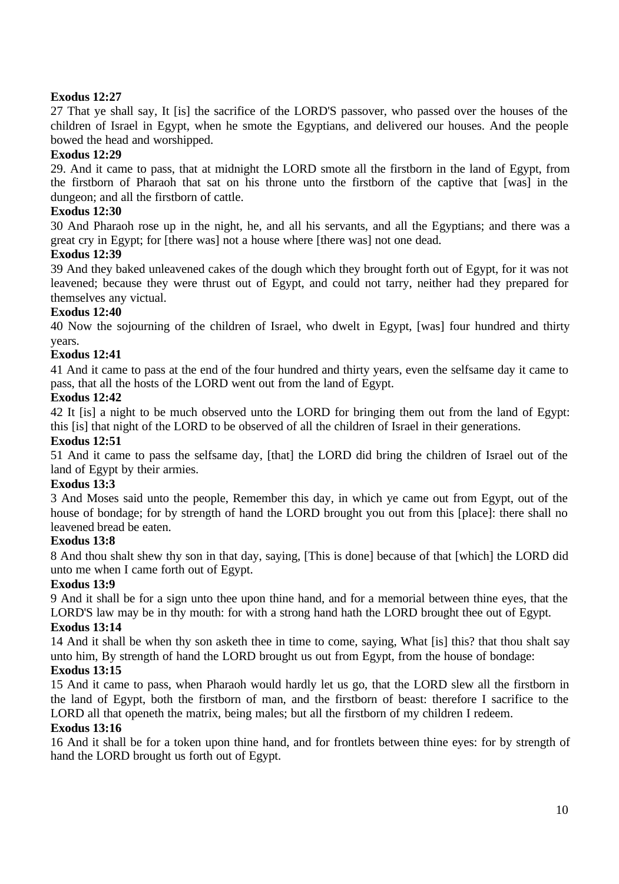# **Exodus 12:27**

27 That ye shall say, It [is] the sacrifice of the LORD'S passover, who passed over the houses of the children of Israel in Egypt, when he smote the Egyptians, and delivered our houses. And the people bowed the head and worshipped.

## **Exodus 12:29**

29. And it came to pass, that at midnight the LORD smote all the firstborn in the land of Egypt, from the firstborn of Pharaoh that sat on his throne unto the firstborn of the captive that [was] in the dungeon; and all the firstborn of cattle.

## **Exodus 12:30**

30 And Pharaoh rose up in the night, he, and all his servants, and all the Egyptians; and there was a great cry in Egypt; for [there was] not a house where [there was] not one dead.

## **Exodus 12:39**

39 And they baked unleavened cakes of the dough which they brought forth out of Egypt, for it was not leavened; because they were thrust out of Egypt, and could not tarry, neither had they prepared for themselves any victual.

## **Exodus 12:40**

40 Now the sojourning of the children of Israel, who dwelt in Egypt, [was] four hundred and thirty years.

## **Exodus 12:41**

41 And it came to pass at the end of the four hundred and thirty years, even the selfsame day it came to pass, that all the hosts of the LORD went out from the land of Egypt.

## **Exodus 12:42**

42 It [is] a night to be much observed unto the LORD for bringing them out from the land of Egypt: this [is] that night of the LORD to be observed of all the children of Israel in their generations.

## **Exodus 12:51**

51 And it came to pass the selfsame day, [that] the LORD did bring the children of Israel out of the land of Egypt by their armies.

## **Exodus 13:3**

3 And Moses said unto the people, Remember this day, in which ye came out from Egypt, out of the house of bondage; for by strength of hand the LORD brought you out from this [place]: there shall no leavened bread be eaten.

## **Exodus 13:8**

8 And thou shalt shew thy son in that day, saying, [This is done] because of that [which] the LORD did unto me when I came forth out of Egypt.

## **Exodus 13:9**

9 And it shall be for a sign unto thee upon thine hand, and for a memorial between thine eyes, that the LORD'S law may be in thy mouth: for with a strong hand hath the LORD brought thee out of Egypt.

## **Exodus 13:14**

14 And it shall be when thy son asketh thee in time to come, saying, What [is] this? that thou shalt say unto him, By strength of hand the LORD brought us out from Egypt, from the house of bondage:

## **Exodus 13:15**

15 And it came to pass, when Pharaoh would hardly let us go, that the LORD slew all the firstborn in the land of Egypt, both the firstborn of man, and the firstborn of beast: therefore I sacrifice to the LORD all that openeth the matrix, being males; but all the firstborn of my children I redeem.

## **Exodus 13:16**

16 And it shall be for a token upon thine hand, and for frontlets between thine eyes: for by strength of hand the LORD brought us forth out of Egypt.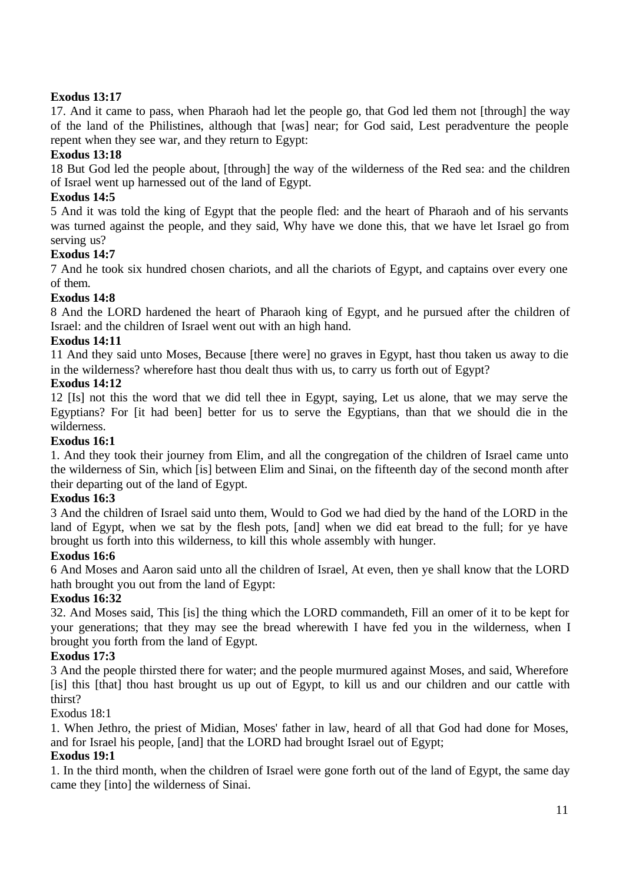# **Exodus 13:17**

17. And it came to pass, when Pharaoh had let the people go, that God led them not [through] the way of the land of the Philistines, although that [was] near; for God said, Lest peradventure the people repent when they see war, and they return to Egypt:

# **Exodus 13:18**

18 But God led the people about, [through] the way of the wilderness of the Red sea: and the children of Israel went up harnessed out of the land of Egypt.

## **Exodus 14:5**

5 And it was told the king of Egypt that the people fled: and the heart of Pharaoh and of his servants was turned against the people, and they said, Why have we done this, that we have let Israel go from serving us?

# **Exodus 14:7**

7 And he took six hundred chosen chariots, and all the chariots of Egypt, and captains over every one of them.

## **Exodus 14:8**

8 And the LORD hardened the heart of Pharaoh king of Egypt, and he pursued after the children of Israel: and the children of Israel went out with an high hand.

## **Exodus 14:11**

11 And they said unto Moses, Because [there were] no graves in Egypt, hast thou taken us away to die in the wilderness? wherefore hast thou dealt thus with us, to carry us forth out of Egypt?

## **Exodus 14:12**

12 [Is] not this the word that we did tell thee in Egypt, saying, Let us alone, that we may serve the Egyptians? For [it had been] better for us to serve the Egyptians, than that we should die in the wilderness.

## **Exodus 16:1**

1. And they took their journey from Elim, and all the congregation of the children of Israel came unto the wilderness of Sin, which [is] between Elim and Sinai, on the fifteenth day of the second month after their departing out of the land of Egypt.

## **Exodus 16:3**

3 And the children of Israel said unto them, Would to God we had died by the hand of the LORD in the land of Egypt, when we sat by the flesh pots, [and] when we did eat bread to the full; for ye have brought us forth into this wilderness, to kill this whole assembly with hunger.

## **Exodus 16:6**

6 And Moses and Aaron said unto all the children of Israel, At even, then ye shall know that the LORD hath brought you out from the land of Egypt:

## **Exodus 16:32**

32. And Moses said, This [is] the thing which the LORD commandeth, Fill an omer of it to be kept for your generations; that they may see the bread wherewith I have fed you in the wilderness, when I brought you forth from the land of Egypt.

# **Exodus 17:3**

3 And the people thirsted there for water; and the people murmured against Moses, and said, Wherefore [is] this [that] thou hast brought us up out of Egypt, to kill us and our children and our cattle with thirst?

Exodus 18:1

1. When Jethro, the priest of Midian, Moses' father in law, heard of all that God had done for Moses, and for Israel his people, [and] that the LORD had brought Israel out of Egypt;

## **Exodus 19:1**

1. In the third month, when the children of Israel were gone forth out of the land of Egypt, the same day came they [into] the wilderness of Sinai.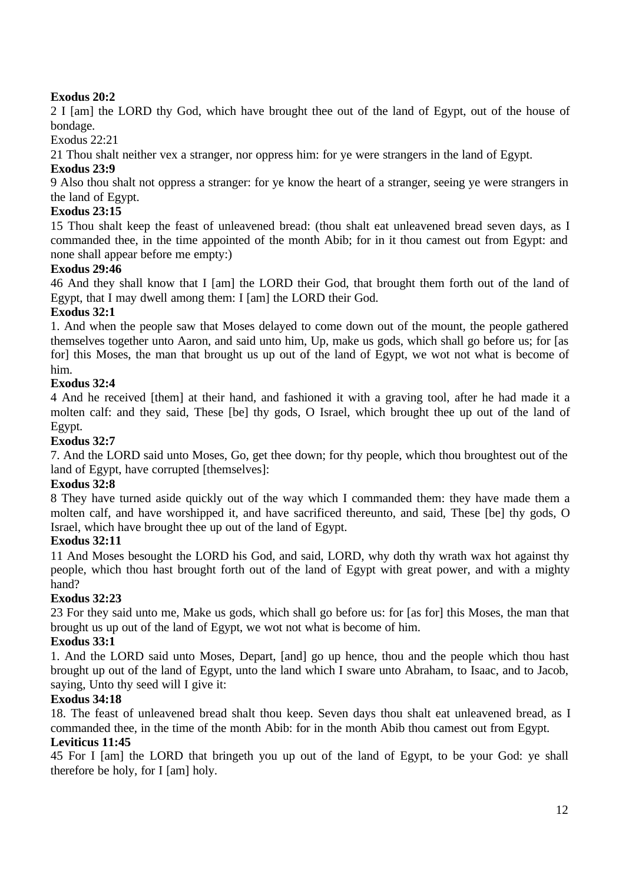# **Exodus 20:2**

2 I [am] the LORD thy God, which have brought thee out of the land of Egypt, out of the house of bondage.

# Exodus 22:21

21 Thou shalt neither vex a stranger, nor oppress him: for ye were strangers in the land of Egypt.

# **Exodus 23:9**

9 Also thou shalt not oppress a stranger: for ye know the heart of a stranger, seeing ye were strangers in the land of Egypt.

# **Exodus 23:15**

15 Thou shalt keep the feast of unleavened bread: (thou shalt eat unleavened bread seven days, as I commanded thee, in the time appointed of the month Abib; for in it thou camest out from Egypt: and none shall appear before me empty:)

# **Exodus 29:46**

46 And they shall know that I [am] the LORD their God, that brought them forth out of the land of Egypt, that I may dwell among them: I [am] the LORD their God.

# **Exodus 32:1**

1. And when the people saw that Moses delayed to come down out of the mount, the people gathered themselves together unto Aaron, and said unto him, Up, make us gods, which shall go before us; for [as for] this Moses, the man that brought us up out of the land of Egypt, we wot not what is become of him.

## **Exodus 32:4**

4 And he received [them] at their hand, and fashioned it with a graving tool, after he had made it a molten calf: and they said, These [be] thy gods, O Israel, which brought thee up out of the land of Egypt.

## **Exodus 32:7**

7. And the LORD said unto Moses, Go, get thee down; for thy people, which thou broughtest out of the land of Egypt, have corrupted [themselves]:

## **Exodus 32:8**

8 They have turned aside quickly out of the way which I commanded them: they have made them a molten calf, and have worshipped it, and have sacrificed thereunto, and said, These [be] thy gods, O Israel, which have brought thee up out of the land of Egypt.

# **Exodus 32:11**

11 And Moses besought the LORD his God, and said, LORD, why doth thy wrath wax hot against thy people, which thou hast brought forth out of the land of Egypt with great power, and with a mighty hand?

# **Exodus 32:23**

23 For they said unto me, Make us gods, which shall go before us: for [as for] this Moses, the man that brought us up out of the land of Egypt, we wot not what is become of him.

## **Exodus 33:1**

1. And the LORD said unto Moses, Depart, [and] go up hence, thou and the people which thou hast brought up out of the land of Egypt, unto the land which I sware unto Abraham, to Isaac, and to Jacob, saying, Unto thy seed will I give it:

## **Exodus 34:18**

18. The feast of unleavened bread shalt thou keep. Seven days thou shalt eat unleavened bread, as I commanded thee, in the time of the month Abib: for in the month Abib thou camest out from Egypt.

# **Leviticus 11:45**

45 For I [am] the LORD that bringeth you up out of the land of Egypt, to be your God: ye shall therefore be holy, for I [am] holy.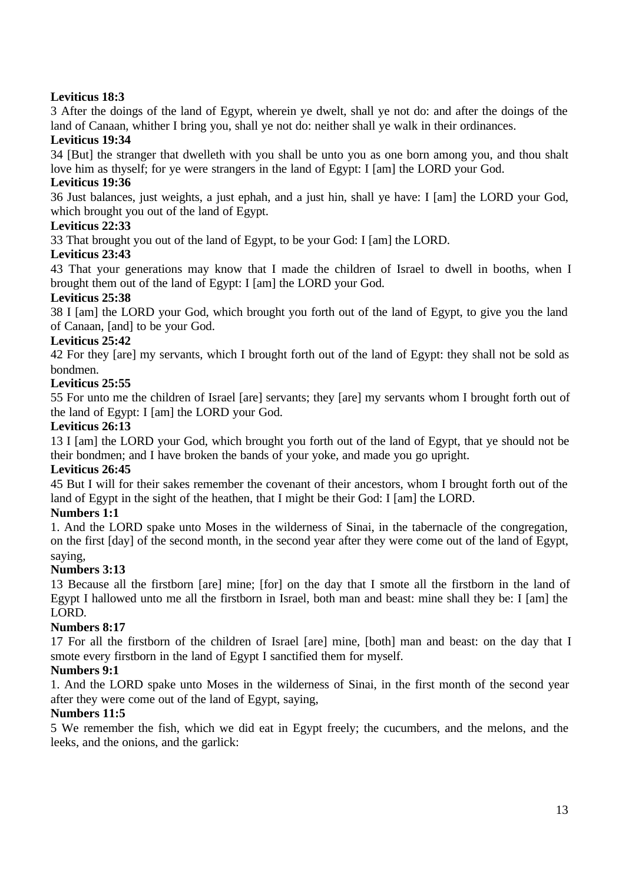# **Leviticus 18:3**

3 After the doings of the land of Egypt, wherein ye dwelt, shall ye not do: and after the doings of the land of Canaan, whither I bring you, shall ye not do: neither shall ye walk in their ordinances.

# **Leviticus 19:34**

34 [But] the stranger that dwelleth with you shall be unto you as one born among you, and thou shalt love him as thyself; for ye were strangers in the land of Egypt: I [am] the LORD your God.

# **Leviticus 19:36**

36 Just balances, just weights, a just ephah, and a just hin, shall ye have: I [am] the LORD your God, which brought you out of the land of Egypt.

# **Leviticus 22:33**

33 That brought you out of the land of Egypt, to be your God: I [am] the LORD.

# **Leviticus 23:43**

43 That your generations may know that I made the children of Israel to dwell in booths, when I brought them out of the land of Egypt: I [am] the LORD your God.

# **Leviticus 25:38**

38 I [am] the LORD your God, which brought you forth out of the land of Egypt, to give you the land of Canaan, [and] to be your God.

# **Leviticus 25:42**

42 For they [are] my servants, which I brought forth out of the land of Egypt: they shall not be sold as bondmen.

# **Leviticus 25:55**

55 For unto me the children of Israel [are] servants; they [are] my servants whom I brought forth out of the land of Egypt: I [am] the LORD your God.

# **Leviticus 26:13**

13 I [am] the LORD your God, which brought you forth out of the land of Egypt, that ye should not be their bondmen; and I have broken the bands of your yoke, and made you go upright.

# **Leviticus 26:45**

45 But I will for their sakes remember the covenant of their ancestors, whom I brought forth out of the land of Egypt in the sight of the heathen, that I might be their God: I [am] the LORD.

# **Numbers 1:1**

1. And the LORD spake unto Moses in the wilderness of Sinai, in the tabernacle of the congregation, on the first [day] of the second month, in the second year after they were come out of the land of Egypt, saying,

# **Numbers 3:13**

13 Because all the firstborn [are] mine; [for] on the day that I smote all the firstborn in the land of Egypt I hallowed unto me all the firstborn in Israel, both man and beast: mine shall they be: I [am] the LORD.

# **Numbers 8:17**

17 For all the firstborn of the children of Israel [are] mine, [both] man and beast: on the day that I smote every firstborn in the land of Egypt I sanctified them for myself.

# **Numbers 9:1**

1. And the LORD spake unto Moses in the wilderness of Sinai, in the first month of the second year after they were come out of the land of Egypt, saying,

# **Numbers 11:5**

5 We remember the fish, which we did eat in Egypt freely; the cucumbers, and the melons, and the leeks, and the onions, and the garlick: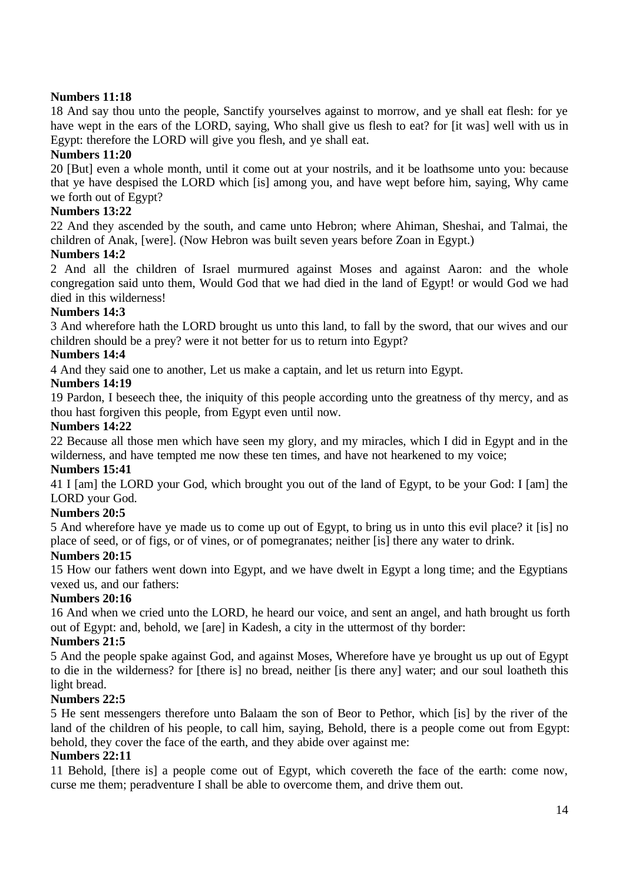# **Numbers 11:18**

18 And say thou unto the people, Sanctify yourselves against to morrow, and ye shall eat flesh: for ye have wept in the ears of the LORD, saying, Who shall give us flesh to eat? for [it was] well with us in Egypt: therefore the LORD will give you flesh, and ye shall eat.

# **Numbers 11:20**

20 [But] even a whole month, until it come out at your nostrils, and it be loathsome unto you: because that ye have despised the LORD which [is] among you, and have wept before him, saying, Why came we forth out of Egypt?

# **Numbers 13:22**

22 And they ascended by the south, and came unto Hebron; where Ahiman, Sheshai, and Talmai, the children of Anak, [were]. (Now Hebron was built seven years before Zoan in Egypt.)

# **Numbers 14:2**

2 And all the children of Israel murmured against Moses and against Aaron: and the whole congregation said unto them, Would God that we had died in the land of Egypt! or would God we had died in this wilderness!

# **Numbers 14:3**

3 And wherefore hath the LORD brought us unto this land, to fall by the sword, that our wives and our children should be a prey? were it not better for us to return into Egypt?

# **Numbers 14:4**

4 And they said one to another, Let us make a captain, and let us return into Egypt.

# **Numbers 14:19**

19 Pardon, I beseech thee, the iniquity of this people according unto the greatness of thy mercy, and as thou hast forgiven this people, from Egypt even until now.

# **Numbers 14:22**

22 Because all those men which have seen my glory, and my miracles, which I did in Egypt and in the wilderness, and have tempted me now these ten times, and have not hearkened to my voice;

# **Numbers 15:41**

41 I [am] the LORD your God, which brought you out of the land of Egypt, to be your God: I [am] the LORD your God.

# **Numbers 20:5**

5 And wherefore have ye made us to come up out of Egypt, to bring us in unto this evil place? it [is] no place of seed, or of figs, or of vines, or of pomegranates; neither [is] there any water to drink.

# **Numbers 20:15**

15 How our fathers went down into Egypt, and we have dwelt in Egypt a long time; and the Egyptians vexed us, and our fathers:

# **Numbers 20:16**

16 And when we cried unto the LORD, he heard our voice, and sent an angel, and hath brought us forth out of Egypt: and, behold, we [are] in Kadesh, a city in the uttermost of thy border:

# **Numbers 21:5**

5 And the people spake against God, and against Moses, Wherefore have ye brought us up out of Egypt to die in the wilderness? for [there is] no bread, neither [is there any] water; and our soul loatheth this light bread.

# **Numbers 22:5**

5 He sent messengers therefore unto Balaam the son of Beor to Pethor, which [is] by the river of the land of the children of his people, to call him, saying, Behold, there is a people come out from Egypt: behold, they cover the face of the earth, and they abide over against me:

# **Numbers 22:11**

11 Behold, [there is] a people come out of Egypt, which covereth the face of the earth: come now, curse me them; peradventure I shall be able to overcome them, and drive them out.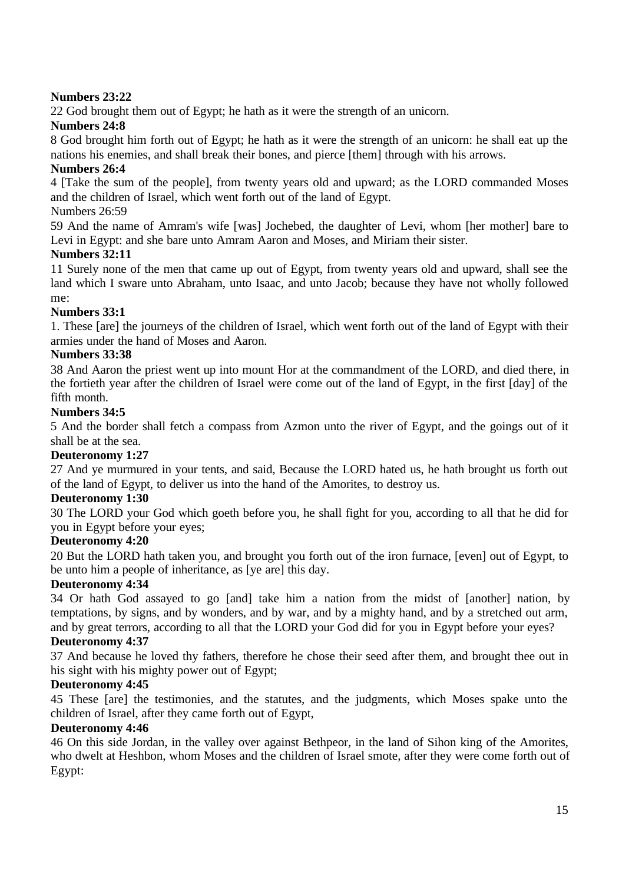# **Numbers 23:22**

22 God brought them out of Egypt; he hath as it were the strength of an unicorn.

## **Numbers 24:8**

8 God brought him forth out of Egypt; he hath as it were the strength of an unicorn: he shall eat up the nations his enemies, and shall break their bones, and pierce [them] through with his arrows.

## **Numbers 26:4**

4 [Take the sum of the people], from twenty years old and upward; as the LORD commanded Moses and the children of Israel, which went forth out of the land of Egypt.

## Numbers 26:59

59 And the name of Amram's wife [was] Jochebed, the daughter of Levi, whom [her mother] bare to Levi in Egypt: and she bare unto Amram Aaron and Moses, and Miriam their sister.

# **Numbers 32:11**

11 Surely none of the men that came up out of Egypt, from twenty years old and upward, shall see the land which I sware unto Abraham, unto Isaac, and unto Jacob; because they have not wholly followed me:

## **Numbers 33:1**

1. These [are] the journeys of the children of Israel, which went forth out of the land of Egypt with their armies under the hand of Moses and Aaron.

# **Numbers 33:38**

38 And Aaron the priest went up into mount Hor at the commandment of the LORD, and died there, in the fortieth year after the children of Israel were come out of the land of Egypt, in the first [day] of the fifth month.

## **Numbers 34:5**

5 And the border shall fetch a compass from Azmon unto the river of Egypt, and the goings out of it shall be at the sea.

## **Deuteronomy 1:27**

27 And ye murmured in your tents, and said, Because the LORD hated us, he hath brought us forth out of the land of Egypt, to deliver us into the hand of the Amorites, to destroy us.

## **Deuteronomy 1:30**

30 The LORD your God which goeth before you, he shall fight for you, according to all that he did for you in Egypt before your eyes;

## **Deuteronomy 4:20**

20 But the LORD hath taken you, and brought you forth out of the iron furnace, [even] out of Egypt, to be unto him a people of inheritance, as [ye are] this day.

## **Deuteronomy 4:34**

34 Or hath God assayed to go [and] take him a nation from the midst of [another] nation, by temptations, by signs, and by wonders, and by war, and by a mighty hand, and by a stretched out arm, and by great terrors, according to all that the LORD your God did for you in Egypt before your eyes?

## **Deuteronomy 4:37**

37 And because he loved thy fathers, therefore he chose their seed after them, and brought thee out in his sight with his mighty power out of Egypt;

## **Deuteronomy 4:45**

45 These [are] the testimonies, and the statutes, and the judgments, which Moses spake unto the children of Israel, after they came forth out of Egypt,

## **Deuteronomy 4:46**

46 On this side Jordan, in the valley over against Bethpeor, in the land of Sihon king of the Amorites, who dwelt at Heshbon, whom Moses and the children of Israel smote, after they were come forth out of Egypt: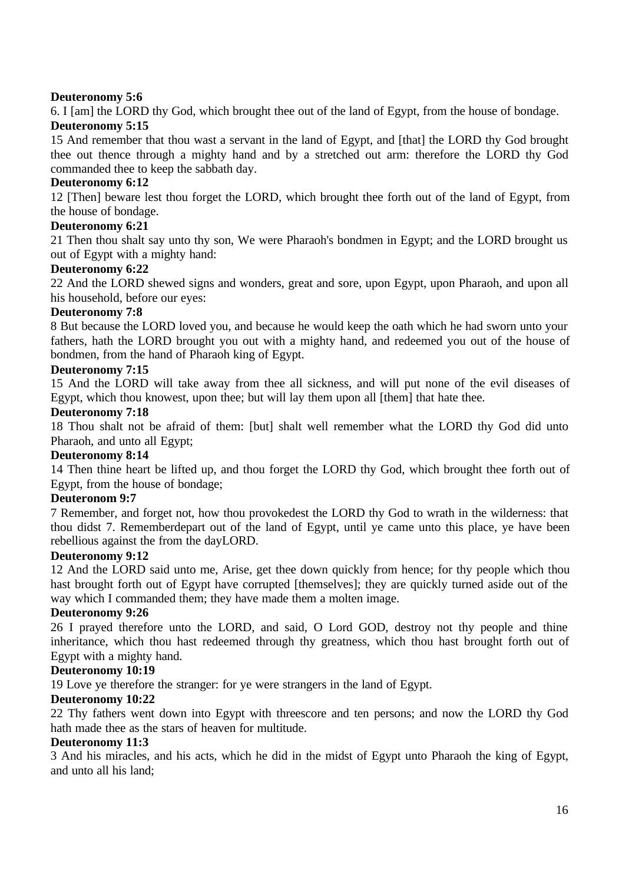# **Deuteronomy 5:6**

6. I [am] the LORD thy God, which brought thee out of the land of Egypt, from the house of bondage.

# **Deuteronomy 5:15**

15 And remember that thou wast a servant in the land of Egypt, and [that] the LORD thy God brought thee out thence through a mighty hand and by a stretched out arm: therefore the LORD thy God commanded thee to keep the sabbath day.

## **Deuteronomy 6:12**

12 [Then] beware lest thou forget the LORD, which brought thee forth out of the land of Egypt, from the house of bondage.

## **Deuteronomy 6:21**

21 Then thou shalt say unto thy son, We were Pharaoh's bondmen in Egypt; and the LORD brought us out of Egypt with a mighty hand:

## **Deuteronomy 6:22**

22 And the LORD shewed signs and wonders, great and sore, upon Egypt, upon Pharaoh, and upon all his household, before our eyes:

## **Deuteronomy 7:8**

8 But because the LORD loved you, and because he would keep the oath which he had sworn unto your fathers, hath the LORD brought you out with a mighty hand, and redeemed you out of the house of bondmen, from the hand of Pharaoh king of Egypt.

## **Deuteronomy 7:15**

15 And the LORD will take away from thee all sickness, and will put none of the evil diseases of Egypt, which thou knowest, upon thee; but will lay them upon all [them] that hate thee.

## **Deuteronomy 7:18**

18 Thou shalt not be afraid of them: [but] shalt well remember what the LORD thy God did unto Pharaoh, and unto all Egypt;

## **Deuteronomy 8:14**

14 Then thine heart be lifted up, and thou forget the LORD thy God, which brought thee forth out of Egypt, from the house of bondage;

## **Deuteronom 9:7**

7 Remember, and forget not, how thou provokedest the LORD thy God to wrath in the wilderness: that thou didst 7. Rememberdepart out of the land of Egypt, until ye came unto this place, ye have been rebellious against the from the dayLORD.

## **Deuteronomy 9:12**

12 And the LORD said unto me, Arise, get thee down quickly from hence; for thy people which thou hast brought forth out of Egypt have corrupted [themselves]; they are quickly turned aside out of the way which I commanded them; they have made them a molten image.

## **Deuteronomy 9:26**

26 I prayed therefore unto the LORD, and said, O Lord GOD, destroy not thy people and thine inheritance, which thou hast redeemed through thy greatness, which thou hast brought forth out of Egypt with a mighty hand.

## **Deuteronomy 10:19**

19 Love ye therefore the stranger: for ye were strangers in the land of Egypt.

## **Deuteronomy 10:22**

22 Thy fathers went down into Egypt with threescore and ten persons; and now the LORD thy God hath made thee as the stars of heaven for multitude.

## **Deuteronomy 11:3**

3 And his miracles, and his acts, which he did in the midst of Egypt unto Pharaoh the king of Egypt, and unto all his land;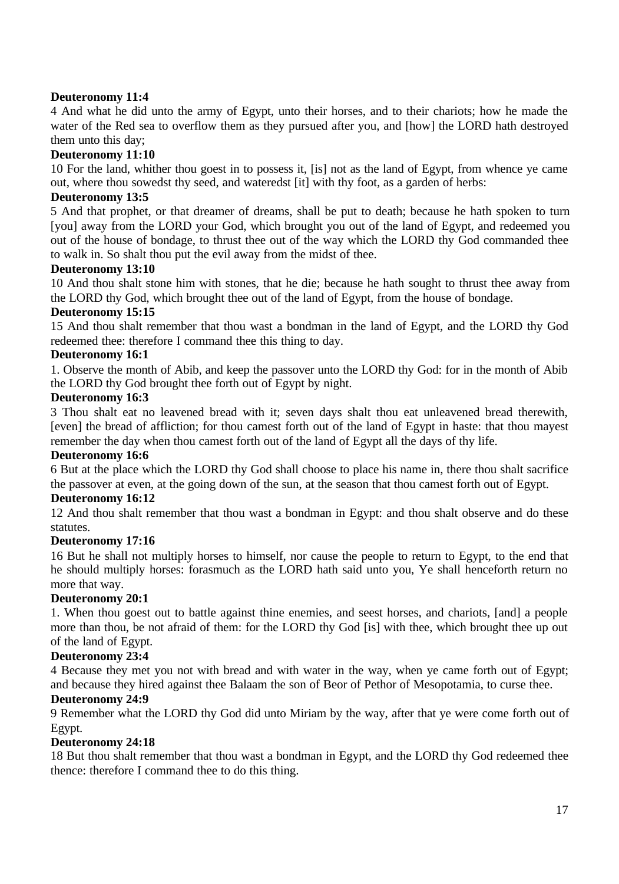## **Deuteronomy 11:4**

4 And what he did unto the army of Egypt, unto their horses, and to their chariots; how he made the water of the Red sea to overflow them as they pursued after you, and [how] the LORD hath destroyed them unto this day;

## **Deuteronomy 11:10**

10 For the land, whither thou goest in to possess it, [is] not as the land of Egypt, from whence ye came out, where thou sowedst thy seed, and wateredst [it] with thy foot, as a garden of herbs:

## **Deuteronomy 13:5**

5 And that prophet, or that dreamer of dreams, shall be put to death; because he hath spoken to turn [you] away from the LORD your God, which brought you out of the land of Egypt, and redeemed you out of the house of bondage, to thrust thee out of the way which the LORD thy God commanded thee to walk in. So shalt thou put the evil away from the midst of thee.

## **Deuteronomy 13:10**

10 And thou shalt stone him with stones, that he die; because he hath sought to thrust thee away from the LORD thy God, which brought thee out of the land of Egypt, from the house of bondage.

## **Deuteronomy 15:15**

15 And thou shalt remember that thou wast a bondman in the land of Egypt, and the LORD thy God redeemed thee: therefore I command thee this thing to day.

## **Deuteronomy 16:1**

1. Observe the month of Abib, and keep the passover unto the LORD thy God: for in the month of Abib the LORD thy God brought thee forth out of Egypt by night.

## **Deuteronomy 16:3**

3 Thou shalt eat no leavened bread with it; seven days shalt thou eat unleavened bread therewith, [even] the bread of affliction; for thou camest forth out of the land of Egypt in haste: that thou mayest remember the day when thou camest forth out of the land of Egypt all the days of thy life.

## **Deuteronomy 16:6**

6 But at the place which the LORD thy God shall choose to place his name in, there thou shalt sacrifice the passover at even, at the going down of the sun, at the season that thou camest forth out of Egypt.

## **Deuteronomy 16:12**

12 And thou shalt remember that thou wast a bondman in Egypt: and thou shalt observe and do these statutes.

# **Deuteronomy 17:16**

16 But he shall not multiply horses to himself, nor cause the people to return to Egypt, to the end that he should multiply horses: forasmuch as the LORD hath said unto you, Ye shall henceforth return no more that way.

## **Deuteronomy 20:1**

1. When thou goest out to battle against thine enemies, and seest horses, and chariots, [and] a people more than thou, be not afraid of them: for the LORD thy God [is] with thee, which brought thee up out of the land of Egypt.

# **Deuteronomy 23:4**

4 Because they met you not with bread and with water in the way, when ye came forth out of Egypt; and because they hired against thee Balaam the son of Beor of Pethor of Mesopotamia, to curse thee.

## **Deuteronomy 24:9**

9 Remember what the LORD thy God did unto Miriam by the way, after that ye were come forth out of Egypt.

## **Deuteronomy 24:18**

18 But thou shalt remember that thou wast a bondman in Egypt, and the LORD thy God redeemed thee thence: therefore I command thee to do this thing.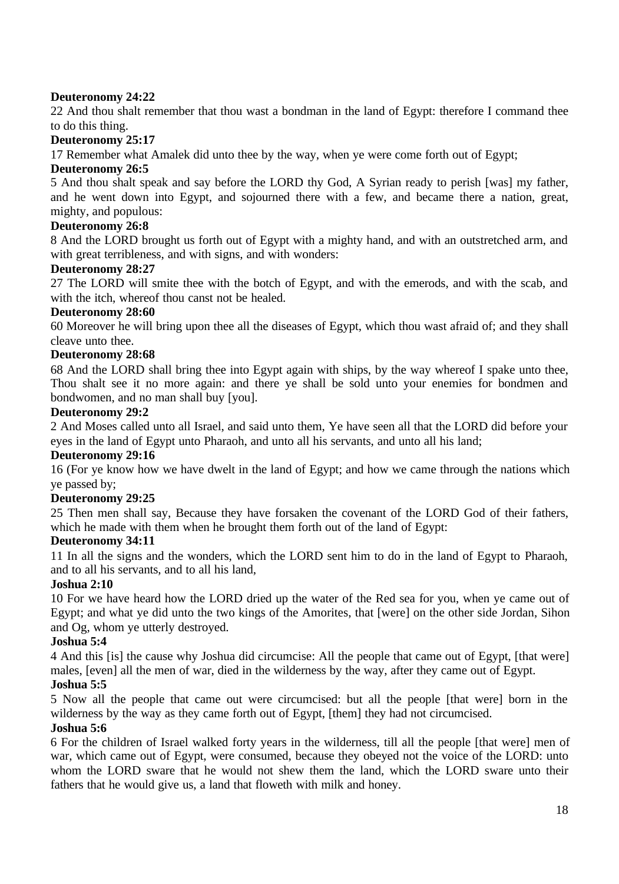## **Deuteronomy 24:22**

22 And thou shalt remember that thou wast a bondman in the land of Egypt: therefore I command thee to do this thing.

## **Deuteronomy 25:17**

17 Remember what Amalek did unto thee by the way, when ye were come forth out of Egypt;

## **Deuteronomy 26:5**

5 And thou shalt speak and say before the LORD thy God, A Syrian ready to perish [was] my father, and he went down into Egypt, and sojourned there with a few, and became there a nation, great, mighty, and populous:

# **Deuteronomy 26:8**

8 And the LORD brought us forth out of Egypt with a mighty hand, and with an outstretched arm, and with great terribleness, and with signs, and with wonders:

## **Deuteronomy 28:27**

27 The LORD will smite thee with the botch of Egypt, and with the emerods, and with the scab, and with the itch, whereof thou canst not be healed.

## **Deuteronomy 28:60**

60 Moreover he will bring upon thee all the diseases of Egypt, which thou wast afraid of; and they shall cleave unto thee.

## **Deuteronomy 28:68**

68 And the LORD shall bring thee into Egypt again with ships, by the way whereof I spake unto thee, Thou shalt see it no more again: and there ye shall be sold unto your enemies for bondmen and bondwomen, and no man shall buy [you].

## **Deuteronomy 29:2**

2 And Moses called unto all Israel, and said unto them, Ye have seen all that the LORD did before your eyes in the land of Egypt unto Pharaoh, and unto all his servants, and unto all his land;

## **Deuteronomy 29:16**

16 (For ye know how we have dwelt in the land of Egypt; and how we came through the nations which ye passed by;

## **Deuteronomy 29:25**

25 Then men shall say, Because they have forsaken the covenant of the LORD God of their fathers, which he made with them when he brought them forth out of the land of Egypt:

## **Deuteronomy 34:11**

11 In all the signs and the wonders, which the LORD sent him to do in the land of Egypt to Pharaoh, and to all his servants, and to all his land,

## **Joshua 2:10**

10 For we have heard how the LORD dried up the water of the Red sea for you, when ye came out of Egypt; and what ye did unto the two kings of the Amorites, that [were] on the other side Jordan, Sihon and Og, whom ye utterly destroyed.

## **Joshua 5:4**

4 And this [is] the cause why Joshua did circumcise: All the people that came out of Egypt, [that were] males, [even] all the men of war, died in the wilderness by the way, after they came out of Egypt. **Joshua 5:5**

5 Now all the people that came out were circumcised: but all the people [that were] born in the wilderness by the way as they came forth out of Egypt, [them] they had not circumcised.

## **Joshua 5:6**

6 For the children of Israel walked forty years in the wilderness, till all the people [that were] men of war, which came out of Egypt, were consumed, because they obeyed not the voice of the LORD: unto whom the LORD sware that he would not shew them the land, which the LORD sware unto their fathers that he would give us, a land that floweth with milk and honey.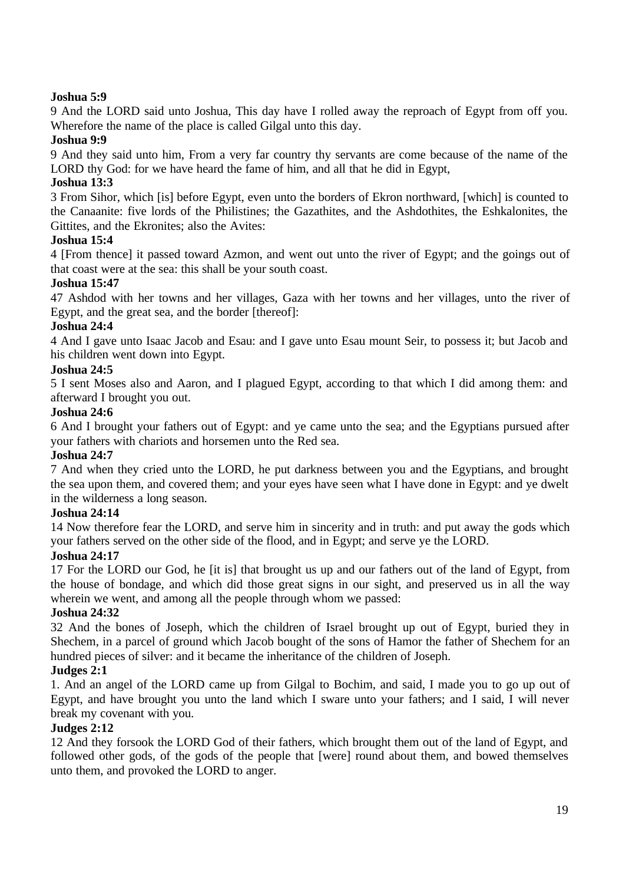# **Joshua 5:9**

9 And the LORD said unto Joshua, This day have I rolled away the reproach of Egypt from off you. Wherefore the name of the place is called Gilgal unto this day.

# **Joshua 9:9**

9 And they said unto him, From a very far country thy servants are come because of the name of the LORD thy God: for we have heard the fame of him, and all that he did in Egypt,

## **Joshua 13:3**

3 From Sihor, which [is] before Egypt, even unto the borders of Ekron northward, [which] is counted to the Canaanite: five lords of the Philistines; the Gazathites, and the Ashdothites, the Eshkalonites, the Gittites, and the Ekronites; also the Avites:

## **Joshua 15:4**

4 [From thence] it passed toward Azmon, and went out unto the river of Egypt; and the goings out of that coast were at the sea: this shall be your south coast.

## **Joshua 15:47**

47 Ashdod with her towns and her villages, Gaza with her towns and her villages, unto the river of Egypt, and the great sea, and the border [thereof]:

## **Joshua 24:4**

4 And I gave unto Isaac Jacob and Esau: and I gave unto Esau mount Seir, to possess it; but Jacob and his children went down into Egypt.

## **Joshua 24:5**

5 I sent Moses also and Aaron, and I plagued Egypt, according to that which I did among them: and afterward I brought you out.

## **Joshua 24:6**

6 And I brought your fathers out of Egypt: and ye came unto the sea; and the Egyptians pursued after your fathers with chariots and horsemen unto the Red sea.

## **Joshua 24:7**

7 And when they cried unto the LORD, he put darkness between you and the Egyptians, and brought the sea upon them, and covered them; and your eyes have seen what I have done in Egypt: and ye dwelt in the wilderness a long season.

## **Joshua 24:14**

14 Now therefore fear the LORD, and serve him in sincerity and in truth: and put away the gods which your fathers served on the other side of the flood, and in Egypt; and serve ye the LORD.

## **Joshua 24:17**

17 For the LORD our God, he [it is] that brought us up and our fathers out of the land of Egypt, from the house of bondage, and which did those great signs in our sight, and preserved us in all the way wherein we went, and among all the people through whom we passed:

## **Joshua 24:32**

32 And the bones of Joseph, which the children of Israel brought up out of Egypt, buried they in Shechem, in a parcel of ground which Jacob bought of the sons of Hamor the father of Shechem for an hundred pieces of silver: and it became the inheritance of the children of Joseph.

## **Judges 2:1**

1. And an angel of the LORD came up from Gilgal to Bochim, and said, I made you to go up out of Egypt, and have brought you unto the land which I sware unto your fathers; and I said, I will never break my covenant with you.

## **Judges 2:12**

12 And they forsook the LORD God of their fathers, which brought them out of the land of Egypt, and followed other gods, of the gods of the people that [were] round about them, and bowed themselves unto them, and provoked the LORD to anger.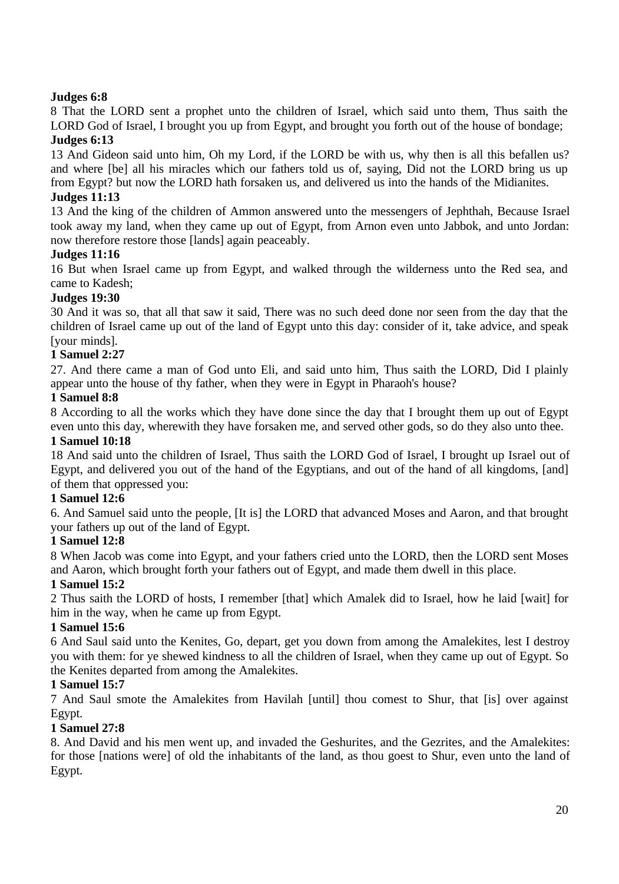# **Judges 6:8**

8 That the LORD sent a prophet unto the children of Israel, which said unto them, Thus saith the LORD God of Israel, I brought you up from Egypt, and brought you forth out of the house of bondage; **Judges 6:13**

13 And Gideon said unto him, Oh my Lord, if the LORD be with us, why then is all this befallen us? and where [be] all his miracles which our fathers told us of, saying, Did not the LORD bring us up from Egypt? but now the LORD hath forsaken us, and delivered us into the hands of the Midianites.

## **Judges 11:13**

13 And the king of the children of Ammon answered unto the messengers of Jephthah, Because Israel took away my land, when they came up out of Egypt, from Arnon even unto Jabbok, and unto Jordan: now therefore restore those [lands] again peaceably.

# **Judges 11:16**

16 But when Israel came up from Egypt, and walked through the wilderness unto the Red sea, and came to Kadesh;

## **Judges 19:30**

30 And it was so, that all that saw it said, There was no such deed done nor seen from the day that the children of Israel came up out of the land of Egypt unto this day: consider of it, take advice, and speak [your minds].

## **1 Samuel 2:27**

27. And there came a man of God unto Eli, and said unto him, Thus saith the LORD, Did I plainly appear unto the house of thy father, when they were in Egypt in Pharaoh's house?

## **1 Samuel 8:8**

8 According to all the works which they have done since the day that I brought them up out of Egypt even unto this day, wherewith they have forsaken me, and served other gods, so do they also unto thee.

## **1 Samuel 10:18**

18 And said unto the children of Israel, Thus saith the LORD God of Israel, I brought up Israel out of Egypt, and delivered you out of the hand of the Egyptians, and out of the hand of all kingdoms, [and] of them that oppressed you:

## **1 Samuel 12:6**

6. And Samuel said unto the people, [It is] the LORD that advanced Moses and Aaron, and that brought your fathers up out of the land of Egypt.

## **1 Samuel 12:8**

8 When Jacob was come into Egypt, and your fathers cried unto the LORD, then the LORD sent Moses and Aaron, which brought forth your fathers out of Egypt, and made them dwell in this place.

## **1 Samuel 15:2**

2 Thus saith the LORD of hosts, I remember [that] which Amalek did to Israel, how he laid [wait] for him in the way, when he came up from Egypt.

## **1 Samuel 15:6**

6 And Saul said unto the Kenites, Go, depart, get you down from among the Amalekites, lest I destroy you with them: for ye shewed kindness to all the children of Israel, when they came up out of Egypt. So the Kenites departed from among the Amalekites.

## **1 Samuel 15:7**

7 And Saul smote the Amalekites from Havilah [until] thou comest to Shur, that [is] over against Egypt.

# **1 Samuel 27:8**

8. And David and his men went up, and invaded the Geshurites, and the Gezrites, and the Amalekites: for those [nations were] of old the inhabitants of the land, as thou goest to Shur, even unto the land of Egypt.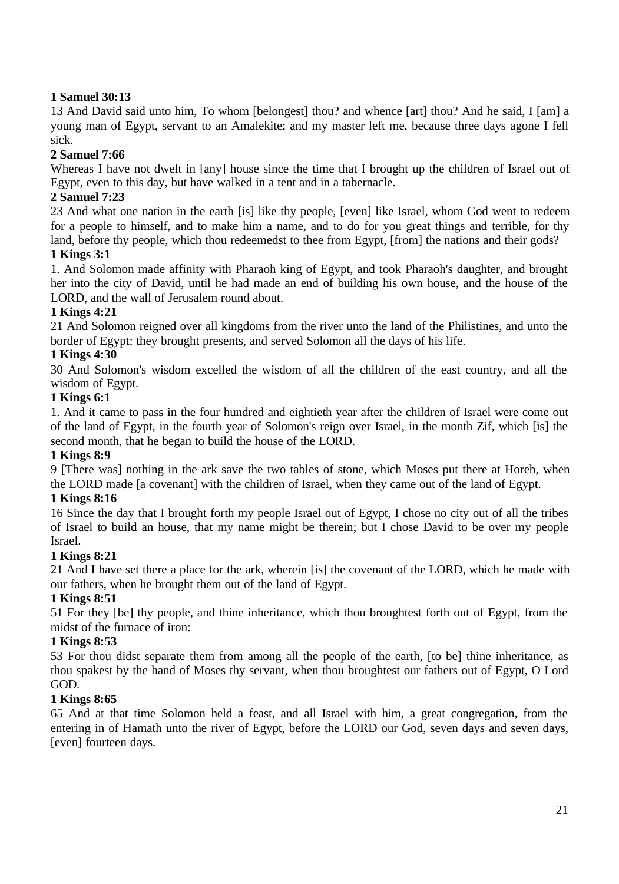# **1 Samuel 30:13**

13 And David said unto him, To whom [belongest] thou? and whence [art] thou? And he said, I [am] a young man of Egypt, servant to an Amalekite; and my master left me, because three days agone I fell sick.

# **2 Samuel 7:66**

Whereas I have not dwelt in [any] house since the time that I brought up the children of Israel out of Egypt, even to this day, but have walked in a tent and in a tabernacle.

# **2 Samuel 7:23**

23 And what one nation in the earth [is] like thy people, [even] like Israel, whom God went to redeem for a people to himself, and to make him a name, and to do for you great things and terrible, for thy land, before thy people, which thou redeemedst to thee from Egypt, [from] the nations and their gods?

# **1 Kings 3:1**

1. And Solomon made affinity with Pharaoh king of Egypt, and took Pharaoh's daughter, and brought her into the city of David, until he had made an end of building his own house, and the house of the LORD, and the wall of Jerusalem round about.

# **1 Kings 4:21**

21 And Solomon reigned over all kingdoms from the river unto the land of the Philistines, and unto the border of Egypt: they brought presents, and served Solomon all the days of his life.

# **1 Kings 4:30**

30 And Solomon's wisdom excelled the wisdom of all the children of the east country, and all the wisdom of Egypt.

# **1 Kings 6:1**

1. And it came to pass in the four hundred and eightieth year after the children of Israel were come out of the land of Egypt, in the fourth year of Solomon's reign over Israel, in the month Zif, which [is] the second month, that he began to build the house of the LORD.

# **1 Kings 8:9**

9 [There was] nothing in the ark save the two tables of stone, which Moses put there at Horeb, when the LORD made [a covenant] with the children of Israel, when they came out of the land of Egypt.

# **1 Kings 8:16**

16 Since the day that I brought forth my people Israel out of Egypt, I chose no city out of all the tribes of Israel to build an house, that my name might be therein; but I chose David to be over my people Israel.

# **1 Kings 8:21**

21 And I have set there a place for the ark, wherein [is] the covenant of the LORD, which he made with our fathers, when he brought them out of the land of Egypt.

# **1 Kings 8:51**

51 For they [be] thy people, and thine inheritance, which thou broughtest forth out of Egypt, from the midst of the furnace of iron:

## **1 Kings 8:53**

53 For thou didst separate them from among all the people of the earth, [to be] thine inheritance, as thou spakest by the hand of Moses thy servant, when thou broughtest our fathers out of Egypt, O Lord GOD.

## **1 Kings 8:65**

65 And at that time Solomon held a feast, and all Israel with him, a great congregation, from the entering in of Hamath unto the river of Egypt, before the LORD our God, seven days and seven days, [even] fourteen days.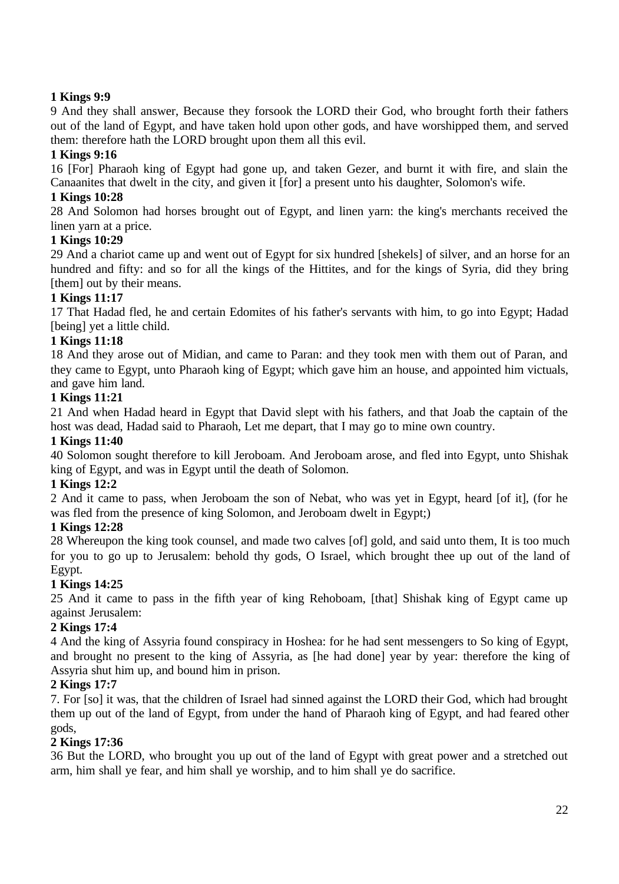# **1 Kings 9:9**

9 And they shall answer, Because they forsook the LORD their God, who brought forth their fathers out of the land of Egypt, and have taken hold upon other gods, and have worshipped them, and served them: therefore hath the LORD brought upon them all this evil.

# **1 Kings 9:16**

16 [For] Pharaoh king of Egypt had gone up, and taken Gezer, and burnt it with fire, and slain the Canaanites that dwelt in the city, and given it [for] a present unto his daughter, Solomon's wife.

# **1 Kings 10:28**

28 And Solomon had horses brought out of Egypt, and linen yarn: the king's merchants received the linen yarn at a price.

## **1 Kings 10:29**

29 And a chariot came up and went out of Egypt for six hundred [shekels] of silver, and an horse for an hundred and fifty: and so for all the kings of the Hittites, and for the kings of Syria, did they bring [them] out by their means.

# **1 Kings 11:17**

17 That Hadad fled, he and certain Edomites of his father's servants with him, to go into Egypt; Hadad [being] yet a little child.

# **1 Kings 11:18**

18 And they arose out of Midian, and came to Paran: and they took men with them out of Paran, and they came to Egypt, unto Pharaoh king of Egypt; which gave him an house, and appointed him victuals, and gave him land.

## **1 Kings 11:21**

21 And when Hadad heard in Egypt that David slept with his fathers, and that Joab the captain of the host was dead, Hadad said to Pharaoh, Let me depart, that I may go to mine own country.

## **1 Kings 11:40**

40 Solomon sought therefore to kill Jeroboam. And Jeroboam arose, and fled into Egypt, unto Shishak king of Egypt, and was in Egypt until the death of Solomon.

## **1 Kings 12:2**

2 And it came to pass, when Jeroboam the son of Nebat, who was yet in Egypt, heard [of it], (for he was fled from the presence of king Solomon, and Jeroboam dwelt in Egypt;)

# **1 Kings 12:28**

28 Whereupon the king took counsel, and made two calves [of] gold, and said unto them, It is too much for you to go up to Jerusalem: behold thy gods, O Israel, which brought thee up out of the land of Egypt.

# **1 Kings 14:25**

25 And it came to pass in the fifth year of king Rehoboam, [that] Shishak king of Egypt came up against Jerusalem:

# **2 Kings 17:4**

4 And the king of Assyria found conspiracy in Hoshea: for he had sent messengers to So king of Egypt, and brought no present to the king of Assyria, as [he had done] year by year: therefore the king of Assyria shut him up, and bound him in prison.

## **2 Kings 17:7**

7. For [so] it was, that the children of Israel had sinned against the LORD their God, which had brought them up out of the land of Egypt, from under the hand of Pharaoh king of Egypt, and had feared other gods,

# **2 Kings 17:36**

36 But the LORD, who brought you up out of the land of Egypt with great power and a stretched out arm, him shall ye fear, and him shall ye worship, and to him shall ye do sacrifice.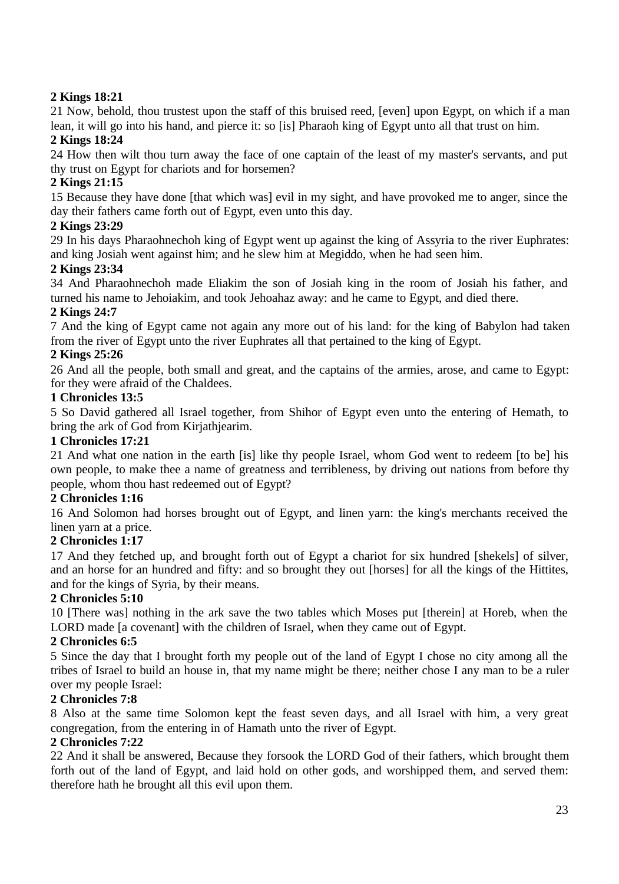# **2 Kings 18:21**

21 Now, behold, thou trustest upon the staff of this bruised reed, [even] upon Egypt, on which if a man lean, it will go into his hand, and pierce it: so [is] Pharaoh king of Egypt unto all that trust on him.

## **2 Kings 18:24**

24 How then wilt thou turn away the face of one captain of the least of my master's servants, and put thy trust on Egypt for chariots and for horsemen?

# **2 Kings 21:15**

15 Because they have done [that which was] evil in my sight, and have provoked me to anger, since the day their fathers came forth out of Egypt, even unto this day.

## **2 Kings 23:29**

29 In his days Pharaohnechoh king of Egypt went up against the king of Assyria to the river Euphrates: and king Josiah went against him; and he slew him at Megiddo, when he had seen him.

## **2 Kings 23:34**

34 And Pharaohnechoh made Eliakim the son of Josiah king in the room of Josiah his father, and turned his name to Jehoiakim, and took Jehoahaz away: and he came to Egypt, and died there.

## **2 Kings 24:7**

7 And the king of Egypt came not again any more out of his land: for the king of Babylon had taken from the river of Egypt unto the river Euphrates all that pertained to the king of Egypt.

# **2 Kings 25:26**

26 And all the people, both small and great, and the captains of the armies, arose, and came to Egypt: for they were afraid of the Chaldees.

## **1 Chronicles 13:5**

5 So David gathered all Israel together, from Shihor of Egypt even unto the entering of Hemath, to bring the ark of God from Kirjathjearim.

## **1 Chronicles 17:21**

21 And what one nation in the earth [is] like thy people Israel, whom God went to redeem [to be] his own people, to make thee a name of greatness and terribleness, by driving out nations from before thy people, whom thou hast redeemed out of Egypt?

# **2 Chronicles 1:16**

16 And Solomon had horses brought out of Egypt, and linen yarn: the king's merchants received the linen yarn at a price.

# **2 Chronicles 1:17**

17 And they fetched up, and brought forth out of Egypt a chariot for six hundred [shekels] of silver, and an horse for an hundred and fifty: and so brought they out [horses] for all the kings of the Hittites, and for the kings of Syria, by their means.

# **2 Chronicles 5:10**

10 [There was] nothing in the ark save the two tables which Moses put [therein] at Horeb, when the LORD made [a covenant] with the children of Israel, when they came out of Egypt.

## **2 Chronicles 6:5**

5 Since the day that I brought forth my people out of the land of Egypt I chose no city among all the tribes of Israel to build an house in, that my name might be there; neither chose I any man to be a ruler over my people Israel:

# **2 Chronicles 7:8**

8 Also at the same time Solomon kept the feast seven days, and all Israel with him, a very great congregation, from the entering in of Hamath unto the river of Egypt.

## **2 Chronicles 7:22**

22 And it shall be answered, Because they forsook the LORD God of their fathers, which brought them forth out of the land of Egypt, and laid hold on other gods, and worshipped them, and served them: therefore hath he brought all this evil upon them.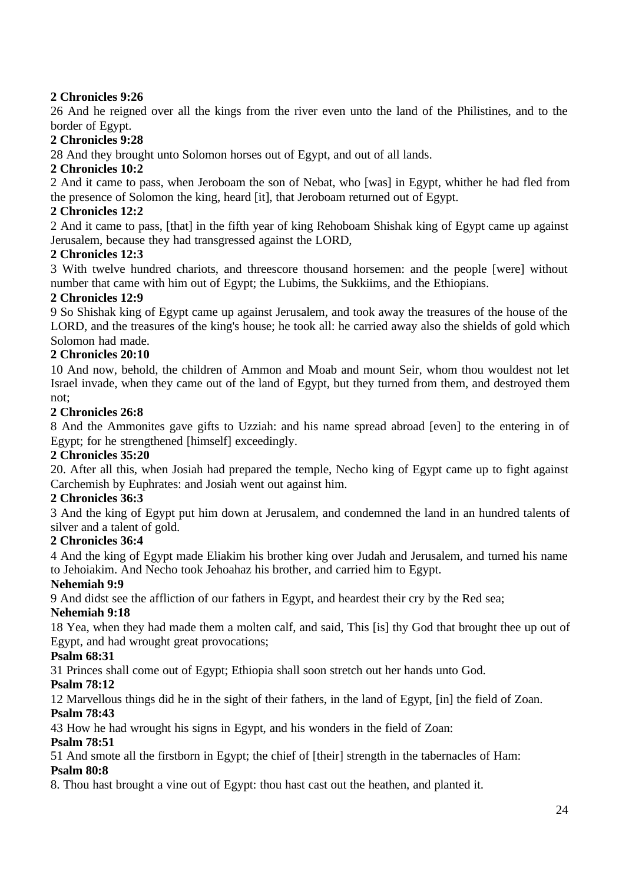# **2 Chronicles 9:26**

26 And he reigned over all the kings from the river even unto the land of the Philistines, and to the border of Egypt.

# **2 Chronicles 9:28**

28 And they brought unto Solomon horses out of Egypt, and out of all lands.

# **2 Chronicles 10:2**

2 And it came to pass, when Jeroboam the son of Nebat, who [was] in Egypt, whither he had fled from the presence of Solomon the king, heard [it], that Jeroboam returned out of Egypt.

## **2 Chronicles 12:2**

2 And it came to pass, [that] in the fifth year of king Rehoboam Shishak king of Egypt came up against Jerusalem, because they had transgressed against the LORD,

# **2 Chronicles 12:3**

3 With twelve hundred chariots, and threescore thousand horsemen: and the people [were] without number that came with him out of Egypt; the Lubims, the Sukkiims, and the Ethiopians.

## **2 Chronicles 12:9**

9 So Shishak king of Egypt came up against Jerusalem, and took away the treasures of the house of the LORD, and the treasures of the king's house; he took all: he carried away also the shields of gold which Solomon had made.

## **2 Chronicles 20:10**

10 And now, behold, the children of Ammon and Moab and mount Seir, whom thou wouldest not let Israel invade, when they came out of the land of Egypt, but they turned from them, and destroyed them not;

## **2 Chronicles 26:8**

8 And the Ammonites gave gifts to Uzziah: and his name spread abroad [even] to the entering in of Egypt; for he strengthened [himself] exceedingly.

## **2 Chronicles 35:20**

20. After all this, when Josiah had prepared the temple, Necho king of Egypt came up to fight against Carchemish by Euphrates: and Josiah went out against him.

## **2 Chronicles 36:3**

3 And the king of Egypt put him down at Jerusalem, and condemned the land in an hundred talents of silver and a talent of gold.

## **2 Chronicles 36:4**

4 And the king of Egypt made Eliakim his brother king over Judah and Jerusalem, and turned his name to Jehoiakim. And Necho took Jehoahaz his brother, and carried him to Egypt.

## **Nehemiah 9:9**

9 And didst see the affliction of our fathers in Egypt, and heardest their cry by the Red sea;

## **Nehemiah 9:18**

18 Yea, when they had made them a molten calf, and said, This [is] thy God that brought thee up out of Egypt, and had wrought great provocations;

# **Psalm 68:31**

31 Princes shall come out of Egypt; Ethiopia shall soon stretch out her hands unto God.

## **Psalm 78:12**

12 Marvellous things did he in the sight of their fathers, in the land of Egypt, [in] the field of Zoan.

# **Psalm 78:43**

43 How he had wrought his signs in Egypt, and his wonders in the field of Zoan:

## **Psalm 78:51**

51 And smote all the firstborn in Egypt; the chief of [their] strength in the tabernacles of Ham:

## **Psalm 80:8**

8. Thou hast brought a vine out of Egypt: thou hast cast out the heathen, and planted it.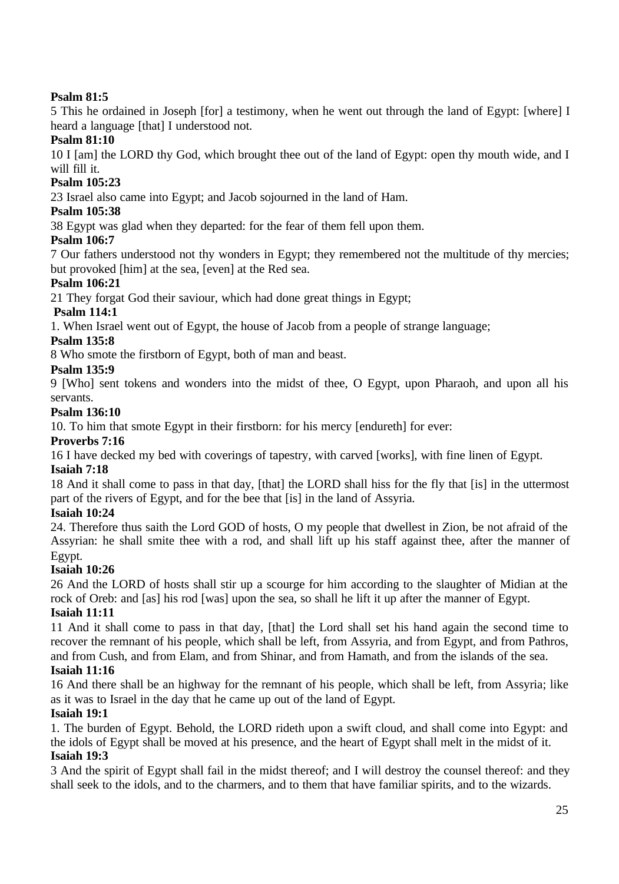# **Psalm 81:5**

5 This he ordained in Joseph [for] a testimony, when he went out through the land of Egypt: [where] I heard a language [that] I understood not.

# **Psalm 81:10**

10 I [am] the LORD thy God, which brought thee out of the land of Egypt: open thy mouth wide, and I will fill it.

# **Psalm 105:23**

23 Israel also came into Egypt; and Jacob sojourned in the land of Ham.

## **Psalm 105:38**

38 Egypt was glad when they departed: for the fear of them fell upon them.

## **Psalm 106:7**

7 Our fathers understood not thy wonders in Egypt; they remembered not the multitude of thy mercies; but provoked [him] at the sea, [even] at the Red sea.

# **Psalm 106:21**

21 They forgat God their saviour, which had done great things in Egypt;

# **Psalm 114:1**

1. When Israel went out of Egypt, the house of Jacob from a people of strange language;

# **Psalm 135:8**

8 Who smote the firstborn of Egypt, both of man and beast.

## **Psalm 135:9**

9 [Who] sent tokens and wonders into the midst of thee, O Egypt, upon Pharaoh, and upon all his servants.

## **Psalm 136:10**

10. To him that smote Egypt in their firstborn: for his mercy [endureth] for ever:

## **Proverbs 7:16**

16 I have decked my bed with coverings of tapestry, with carved [works], with fine linen of Egypt.

## **Isaiah 7:18**

18 And it shall come to pass in that day, [that] the LORD shall hiss for the fly that [is] in the uttermost part of the rivers of Egypt, and for the bee that [is] in the land of Assyria.

## **Isaiah 10:24**

24. Therefore thus saith the Lord GOD of hosts, O my people that dwellest in Zion, be not afraid of the Assyrian: he shall smite thee with a rod, and shall lift up his staff against thee, after the manner of Egypt.

# **Isaiah 10:26**

26 And the LORD of hosts shall stir up a scourge for him according to the slaughter of Midian at the rock of Oreb: and [as] his rod [was] upon the sea, so shall he lift it up after the manner of Egypt.

# **Isaiah 11:11**

11 And it shall come to pass in that day, [that] the Lord shall set his hand again the second time to recover the remnant of his people, which shall be left, from Assyria, and from Egypt, and from Pathros, and from Cush, and from Elam, and from Shinar, and from Hamath, and from the islands of the sea.

# **Isaiah 11:16**

16 And there shall be an highway for the remnant of his people, which shall be left, from Assyria; like as it was to Israel in the day that he came up out of the land of Egypt.

# **Isaiah 19:1**

1. The burden of Egypt. Behold, the LORD rideth upon a swift cloud, and shall come into Egypt: and the idols of Egypt shall be moved at his presence, and the heart of Egypt shall melt in the midst of it. **Isaiah 19:3**

3 And the spirit of Egypt shall fail in the midst thereof; and I will destroy the counsel thereof: and they shall seek to the idols, and to the charmers, and to them that have familiar spirits, and to the wizards.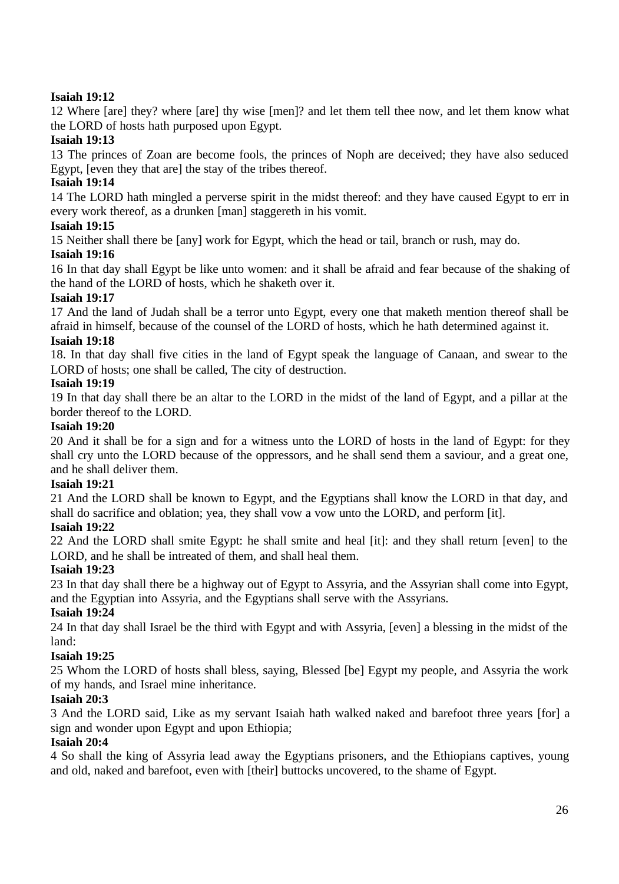# **Isaiah 19:12**

12 Where [are] they? where [are] thy wise [men]? and let them tell thee now, and let them know what the LORD of hosts hath purposed upon Egypt.

# **Isaiah 19:13**

13 The princes of Zoan are become fools, the princes of Noph are deceived; they have also seduced Egypt, [even they that are] the stay of the tribes thereof.

# **Isaiah 19:14**

14 The LORD hath mingled a perverse spirit in the midst thereof: and they have caused Egypt to err in every work thereof, as a drunken [man] staggereth in his vomit.

## **Isaiah 19:15**

15 Neither shall there be [any] work for Egypt, which the head or tail, branch or rush, may do.

## **Isaiah 19:16**

16 In that day shall Egypt be like unto women: and it shall be afraid and fear because of the shaking of the hand of the LORD of hosts, which he shaketh over it.

## **Isaiah 19:17**

17 And the land of Judah shall be a terror unto Egypt, every one that maketh mention thereof shall be afraid in himself, because of the counsel of the LORD of hosts, which he hath determined against it.

## **Isaiah 19:18**

18. In that day shall five cities in the land of Egypt speak the language of Canaan, and swear to the LORD of hosts; one shall be called, The city of destruction.

## **Isaiah 19:19**

19 In that day shall there be an altar to the LORD in the midst of the land of Egypt, and a pillar at the border thereof to the LORD.

## **Isaiah 19:20**

20 And it shall be for a sign and for a witness unto the LORD of hosts in the land of Egypt: for they shall cry unto the LORD because of the oppressors, and he shall send them a saviour, and a great one, and he shall deliver them.

## **Isaiah 19:21**

21 And the LORD shall be known to Egypt, and the Egyptians shall know the LORD in that day, and shall do sacrifice and oblation; yea, they shall vow a vow unto the LORD, and perform [it].

# **Isaiah 19:22**

22 And the LORD shall smite Egypt: he shall smite and heal [it]: and they shall return [even] to the LORD, and he shall be intreated of them, and shall heal them.

# **Isaiah 19:23**

23 In that day shall there be a highway out of Egypt to Assyria, and the Assyrian shall come into Egypt, and the Egyptian into Assyria, and the Egyptians shall serve with the Assyrians.

## **Isaiah 19:24**

24 In that day shall Israel be the third with Egypt and with Assyria, [even] a blessing in the midst of the land:

# **Isaiah 19:25**

25 Whom the LORD of hosts shall bless, saying, Blessed [be] Egypt my people, and Assyria the work of my hands, and Israel mine inheritance.

# **Isaiah 20:3**

3 And the LORD said, Like as my servant Isaiah hath walked naked and barefoot three years [for] a sign and wonder upon Egypt and upon Ethiopia;

## **Isaiah 20:4**

4 So shall the king of Assyria lead away the Egyptians prisoners, and the Ethiopians captives, young and old, naked and barefoot, even with [their] buttocks uncovered, to the shame of Egypt.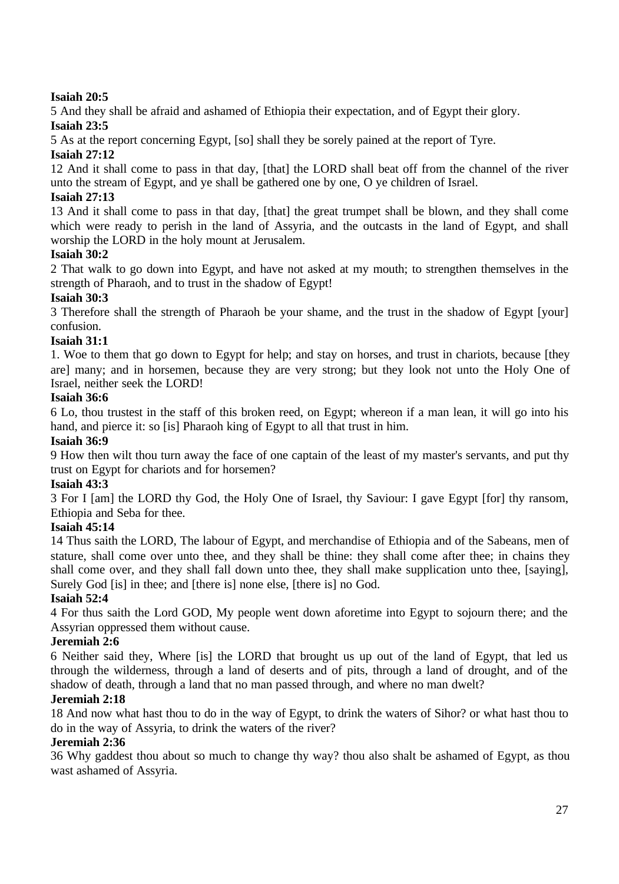# **Isaiah 20:5**

5 And they shall be afraid and ashamed of Ethiopia their expectation, and of Egypt their glory. **Isaiah 23:5**

5 As at the report concerning Egypt, [so] shall they be sorely pained at the report of Tyre.

# **Isaiah 27:12**

12 And it shall come to pass in that day, [that] the LORD shall beat off from the channel of the river unto the stream of Egypt, and ye shall be gathered one by one, O ye children of Israel.

# **Isaiah 27:13**

13 And it shall come to pass in that day, [that] the great trumpet shall be blown, and they shall come which were ready to perish in the land of Assyria, and the outcasts in the land of Egypt, and shall worship the LORD in the holy mount at Jerusalem.

# **Isaiah 30:2**

2 That walk to go down into Egypt, and have not asked at my mouth; to strengthen themselves in the strength of Pharaoh, and to trust in the shadow of Egypt!

# **Isaiah 30:3**

3 Therefore shall the strength of Pharaoh be your shame, and the trust in the shadow of Egypt [your] confusion.

# **Isaiah 31:1**

1. Woe to them that go down to Egypt for help; and stay on horses, and trust in chariots, because [they are] many; and in horsemen, because they are very strong; but they look not unto the Holy One of Israel, neither seek the LORD!

# **Isaiah 36:6**

6 Lo, thou trustest in the staff of this broken reed, on Egypt; whereon if a man lean, it will go into his hand, and pierce it: so [is] Pharaoh king of Egypt to all that trust in him.

# **Isaiah 36:9**

9 How then wilt thou turn away the face of one captain of the least of my master's servants, and put thy trust on Egypt for chariots and for horsemen?

# **Isaiah 43:3**

3 For I [am] the LORD thy God, the Holy One of Israel, thy Saviour: I gave Egypt [for] thy ransom, Ethiopia and Seba for thee.

# **Isaiah 45:14**

14 Thus saith the LORD, The labour of Egypt, and merchandise of Ethiopia and of the Sabeans, men of stature, shall come over unto thee, and they shall be thine: they shall come after thee; in chains they shall come over, and they shall fall down unto thee, they shall make supplication unto thee, [saying], Surely God [is] in thee; and [there is] none else, [there is] no God.

# **Isaiah 52:4**

4 For thus saith the Lord GOD, My people went down aforetime into Egypt to sojourn there; and the Assyrian oppressed them without cause.

# **Jeremiah 2:6**

6 Neither said they, Where [is] the LORD that brought us up out of the land of Egypt, that led us through the wilderness, through a land of deserts and of pits, through a land of drought, and of the shadow of death, through a land that no man passed through, and where no man dwelt?

# **Jeremiah 2:18**

18 And now what hast thou to do in the way of Egypt, to drink the waters of Sihor? or what hast thou to do in the way of Assyria, to drink the waters of the river?

# **Jeremiah 2:36**

36 Why gaddest thou about so much to change thy way? thou also shalt be ashamed of Egypt, as thou wast ashamed of Assyria.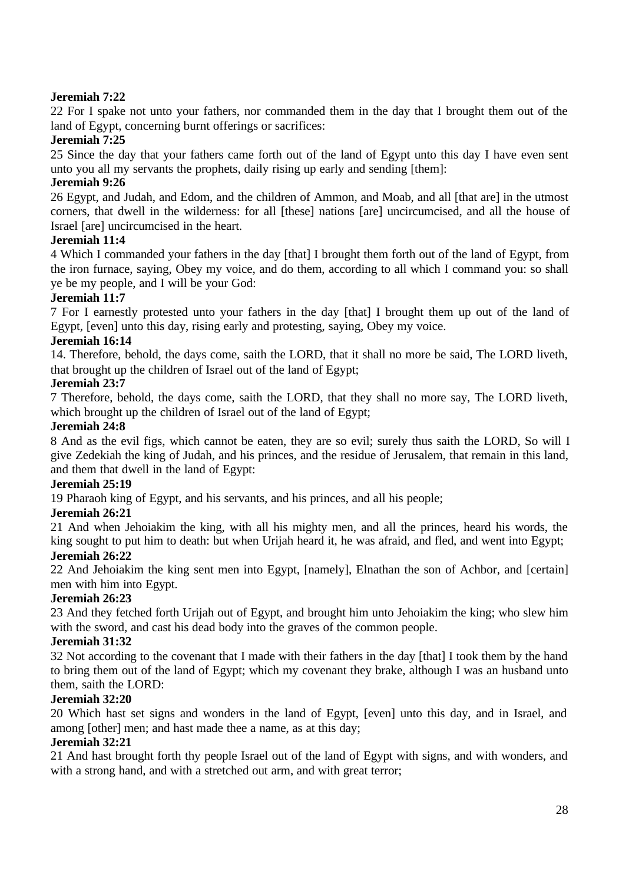# **Jeremiah 7:22**

22 For I spake not unto your fathers, nor commanded them in the day that I brought them out of the land of Egypt, concerning burnt offerings or sacrifices:

# **Jeremiah 7:25**

25 Since the day that your fathers came forth out of the land of Egypt unto this day I have even sent unto you all my servants the prophets, daily rising up early and sending [them]:

# **Jeremiah 9:26**

26 Egypt, and Judah, and Edom, and the children of Ammon, and Moab, and all [that are] in the utmost corners, that dwell in the wilderness: for all [these] nations [are] uncircumcised, and all the house of Israel [are] uncircumcised in the heart.

## **Jeremiah 11:4**

4 Which I commanded your fathers in the day [that] I brought them forth out of the land of Egypt, from the iron furnace, saying, Obey my voice, and do them, according to all which I command you: so shall ye be my people, and I will be your God:

## **Jeremiah 11:7**

7 For I earnestly protested unto your fathers in the day [that] I brought them up out of the land of Egypt, [even] unto this day, rising early and protesting, saying, Obey my voice.

## **Jeremiah 16:14**

14. Therefore, behold, the days come, saith the LORD, that it shall no more be said, The LORD liveth, that brought up the children of Israel out of the land of Egypt;

## **Jeremiah 23:7**

7 Therefore, behold, the days come, saith the LORD, that they shall no more say, The LORD liveth, which brought up the children of Israel out of the land of Egypt;

## **Jeremiah 24:8**

8 And as the evil figs, which cannot be eaten, they are so evil; surely thus saith the LORD, So will I give Zedekiah the king of Judah, and his princes, and the residue of Jerusalem, that remain in this land, and them that dwell in the land of Egypt:

## **Jeremiah 25:19**

19 Pharaoh king of Egypt, and his servants, and his princes, and all his people;

# **Jeremiah 26:21**

21 And when Jehoiakim the king, with all his mighty men, and all the princes, heard his words, the king sought to put him to death: but when Urijah heard it, he was afraid, and fled, and went into Egypt; **Jeremiah 26:22**

22 And Jehoiakim the king sent men into Egypt, [namely], Elnathan the son of Achbor, and [certain] men with him into Egypt.

# **Jeremiah 26:23**

23 And they fetched forth Urijah out of Egypt, and brought him unto Jehoiakim the king; who slew him with the sword, and cast his dead body into the graves of the common people.

# **Jeremiah 31:32**

32 Not according to the covenant that I made with their fathers in the day [that] I took them by the hand to bring them out of the land of Egypt; which my covenant they brake, although I was an husband unto them, saith the LORD:

# **Jeremiah 32:20**

20 Which hast set signs and wonders in the land of Egypt, [even] unto this day, and in Israel, and among [other] men; and hast made thee a name, as at this day;

## **Jeremiah 32:21**

21 And hast brought forth thy people Israel out of the land of Egypt with signs, and with wonders, and with a strong hand, and with a stretched out arm, and with great terror;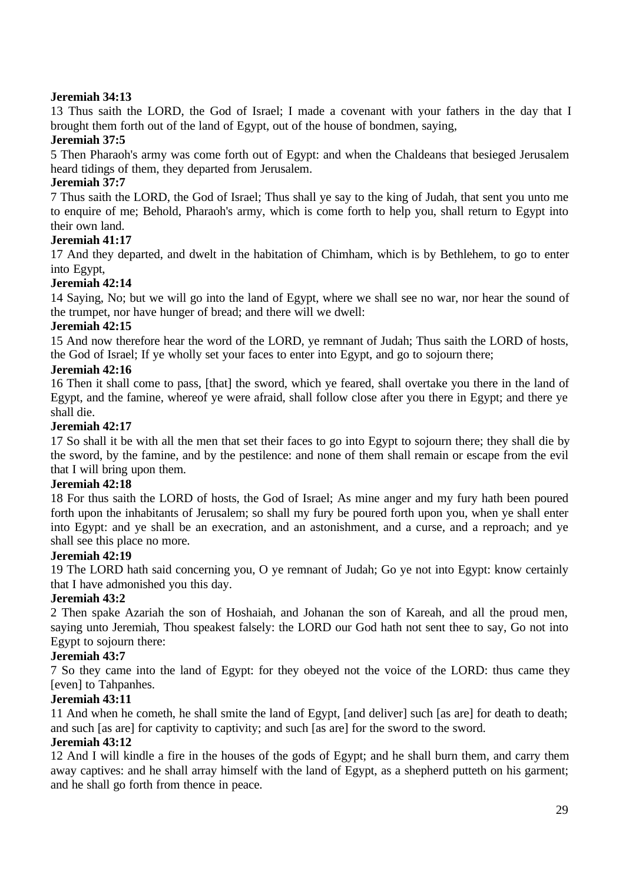# **Jeremiah 34:13**

13 Thus saith the LORD, the God of Israel; I made a covenant with your fathers in the day that I brought them forth out of the land of Egypt, out of the house of bondmen, saying,

# **Jeremiah 37:5**

5 Then Pharaoh's army was come forth out of Egypt: and when the Chaldeans that besieged Jerusalem heard tidings of them, they departed from Jerusalem.

## **Jeremiah 37:7**

7 Thus saith the LORD, the God of Israel; Thus shall ye say to the king of Judah, that sent you unto me to enquire of me; Behold, Pharaoh's army, which is come forth to help you, shall return to Egypt into their own land.

## **Jeremiah 41:17**

17 And they departed, and dwelt in the habitation of Chimham, which is by Bethlehem, to go to enter into Egypt,

# **Jeremiah 42:14**

14 Saying, No; but we will go into the land of Egypt, where we shall see no war, nor hear the sound of the trumpet, nor have hunger of bread; and there will we dwell:

## **Jeremiah 42:15**

15 And now therefore hear the word of the LORD, ye remnant of Judah; Thus saith the LORD of hosts, the God of Israel; If ye wholly set your faces to enter into Egypt, and go to sojourn there;

## **Jeremiah 42:16**

16 Then it shall come to pass, [that] the sword, which ye feared, shall overtake you there in the land of Egypt, and the famine, whereof ye were afraid, shall follow close after you there in Egypt; and there ye shall die.

## **Jeremiah 42:17**

17 So shall it be with all the men that set their faces to go into Egypt to sojourn there; they shall die by the sword, by the famine, and by the pestilence: and none of them shall remain or escape from the evil that I will bring upon them.

## **Jeremiah 42:18**

18 For thus saith the LORD of hosts, the God of Israel; As mine anger and my fury hath been poured forth upon the inhabitants of Jerusalem; so shall my fury be poured forth upon you, when ye shall enter into Egypt: and ye shall be an execration, and an astonishment, and a curse, and a reproach; and ye shall see this place no more.

## **Jeremiah 42:19**

19 The LORD hath said concerning you, O ye remnant of Judah; Go ye not into Egypt: know certainly that I have admonished you this day.

# **Jeremiah 43:2**

2 Then spake Azariah the son of Hoshaiah, and Johanan the son of Kareah, and all the proud men, saying unto Jeremiah, Thou speakest falsely: the LORD our God hath not sent thee to say, Go not into Egypt to sojourn there:

# **Jeremiah 43:7**

7 So they came into the land of Egypt: for they obeyed not the voice of the LORD: thus came they [even] to Tahpanhes.

# **Jeremiah 43:11**

11 And when he cometh, he shall smite the land of Egypt, [and deliver] such [as are] for death to death; and such [as are] for captivity to captivity; and such [as are] for the sword to the sword.

## **Jeremiah 43:12**

12 And I will kindle a fire in the houses of the gods of Egypt; and he shall burn them, and carry them away captives: and he shall array himself with the land of Egypt, as a shepherd putteth on his garment; and he shall go forth from thence in peace.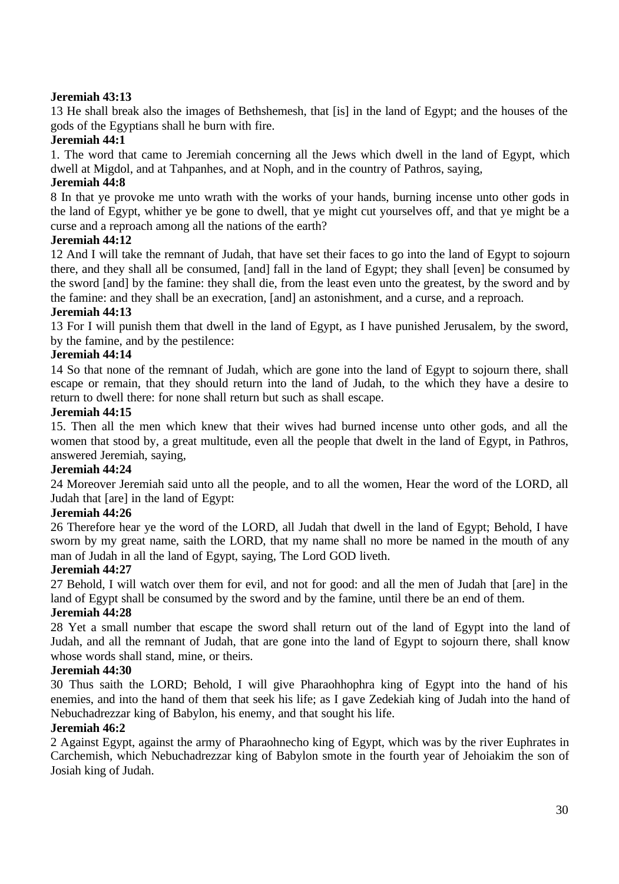## **Jeremiah 43:13**

13 He shall break also the images of Bethshemesh, that [is] in the land of Egypt; and the houses of the gods of the Egyptians shall he burn with fire.

# **Jeremiah 44:1**

1. The word that came to Jeremiah concerning all the Jews which dwell in the land of Egypt, which dwell at Migdol, and at Tahpanhes, and at Noph, and in the country of Pathros, saying,

## **Jeremiah 44:8**

8 In that ye provoke me unto wrath with the works of your hands, burning incense unto other gods in the land of Egypt, whither ye be gone to dwell, that ye might cut yourselves off, and that ye might be a curse and a reproach among all the nations of the earth?

## **Jeremiah 44:12**

12 And I will take the remnant of Judah, that have set their faces to go into the land of Egypt to sojourn there, and they shall all be consumed, [and] fall in the land of Egypt; they shall [even] be consumed by the sword [and] by the famine: they shall die, from the least even unto the greatest, by the sword and by the famine: and they shall be an execration, [and] an astonishment, and a curse, and a reproach.

## **Jeremiah 44:13**

13 For I will punish them that dwell in the land of Egypt, as I have punished Jerusalem, by the sword, by the famine, and by the pestilence:

## **Jeremiah 44:14**

14 So that none of the remnant of Judah, which are gone into the land of Egypt to sojourn there, shall escape or remain, that they should return into the land of Judah, to the which they have a desire to return to dwell there: for none shall return but such as shall escape.

## **Jeremiah 44:15**

15. Then all the men which knew that their wives had burned incense unto other gods, and all the women that stood by, a great multitude, even all the people that dwelt in the land of Egypt, in Pathros, answered Jeremiah, saying,

## **Jeremiah 44:24**

24 Moreover Jeremiah said unto all the people, and to all the women, Hear the word of the LORD, all Judah that [are] in the land of Egypt:

# **Jeremiah 44:26**

26 Therefore hear ye the word of the LORD, all Judah that dwell in the land of Egypt; Behold, I have sworn by my great name, saith the LORD, that my name shall no more be named in the mouth of any man of Judah in all the land of Egypt, saying, The Lord GOD liveth.

## **Jeremiah 44:27**

27 Behold, I will watch over them for evil, and not for good: and all the men of Judah that [are] in the land of Egypt shall be consumed by the sword and by the famine, until there be an end of them.

## **Jeremiah 44:28**

28 Yet a small number that escape the sword shall return out of the land of Egypt into the land of Judah, and all the remnant of Judah, that are gone into the land of Egypt to sojourn there, shall know whose words shall stand, mine, or theirs.

## **Jeremiah 44:30**

30 Thus saith the LORD; Behold, I will give Pharaohhophra king of Egypt into the hand of his enemies, and into the hand of them that seek his life; as I gave Zedekiah king of Judah into the hand of Nebuchadrezzar king of Babylon, his enemy, and that sought his life.

## **Jeremiah 46:2**

2 Against Egypt, against the army of Pharaohnecho king of Egypt, which was by the river Euphrates in Carchemish, which Nebuchadrezzar king of Babylon smote in the fourth year of Jehoiakim the son of Josiah king of Judah.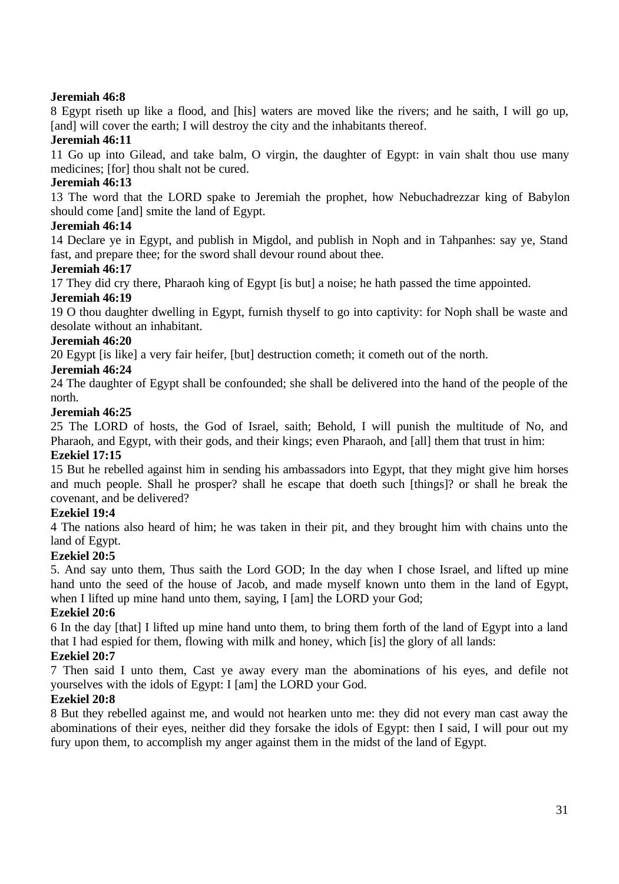# **Jeremiah 46:8**

8 Egypt riseth up like a flood, and [his] waters are moved like the rivers; and he saith, I will go up, [and] will cover the earth; I will destroy the city and the inhabitants thereof.

# **Jeremiah 46:11**

11 Go up into Gilead, and take balm, O virgin, the daughter of Egypt: in vain shalt thou use many medicines; [for] thou shalt not be cured.

# **Jeremiah 46:13**

13 The word that the LORD spake to Jeremiah the prophet, how Nebuchadrezzar king of Babylon should come [and] smite the land of Egypt.

# **Jeremiah 46:14**

14 Declare ye in Egypt, and publish in Migdol, and publish in Noph and in Tahpanhes: say ye, Stand fast, and prepare thee; for the sword shall devour round about thee.

# **Jeremiah 46:17**

17 They did cry there, Pharaoh king of Egypt [is but] a noise; he hath passed the time appointed.

# **Jeremiah 46:19**

19 O thou daughter dwelling in Egypt, furnish thyself to go into captivity: for Noph shall be waste and desolate without an inhabitant.

# **Jeremiah 46:20**

20 Egypt [is like] a very fair heifer, [but] destruction cometh; it cometh out of the north.

# **Jeremiah 46:24**

24 The daughter of Egypt shall be confounded; she shall be delivered into the hand of the people of the north.

## **Jeremiah 46:25**

25 The LORD of hosts, the God of Israel, saith; Behold, I will punish the multitude of No, and Pharaoh, and Egypt, with their gods, and their kings; even Pharaoh, and [all] them that trust in him:

# **Ezekiel 17:15**

15 But he rebelled against him in sending his ambassadors into Egypt, that they might give him horses and much people. Shall he prosper? shall he escape that doeth such [things]? or shall he break the covenant, and be delivered?

# **Ezekiel 19:4**

4 The nations also heard of him; he was taken in their pit, and they brought him with chains unto the land of Egypt.

# **Ezekiel 20:5**

5. And say unto them, Thus saith the Lord GOD; In the day when I chose Israel, and lifted up mine hand unto the seed of the house of Jacob, and made myself known unto them in the land of Egypt, when I lifted up mine hand unto them, saying, I [am] the LORD your God;

# **Ezekiel 20:6**

6 In the day [that] I lifted up mine hand unto them, to bring them forth of the land of Egypt into a land that I had espied for them, flowing with milk and honey, which [is] the glory of all lands:

# **Ezekiel 20:7**

7 Then said I unto them, Cast ye away every man the abominations of his eyes, and defile not yourselves with the idols of Egypt: I [am] the LORD your God.

# **Ezekiel 20:8**

8 But they rebelled against me, and would not hearken unto me: they did not every man cast away the abominations of their eyes, neither did they forsake the idols of Egypt: then I said, I will pour out my fury upon them, to accomplish my anger against them in the midst of the land of Egypt.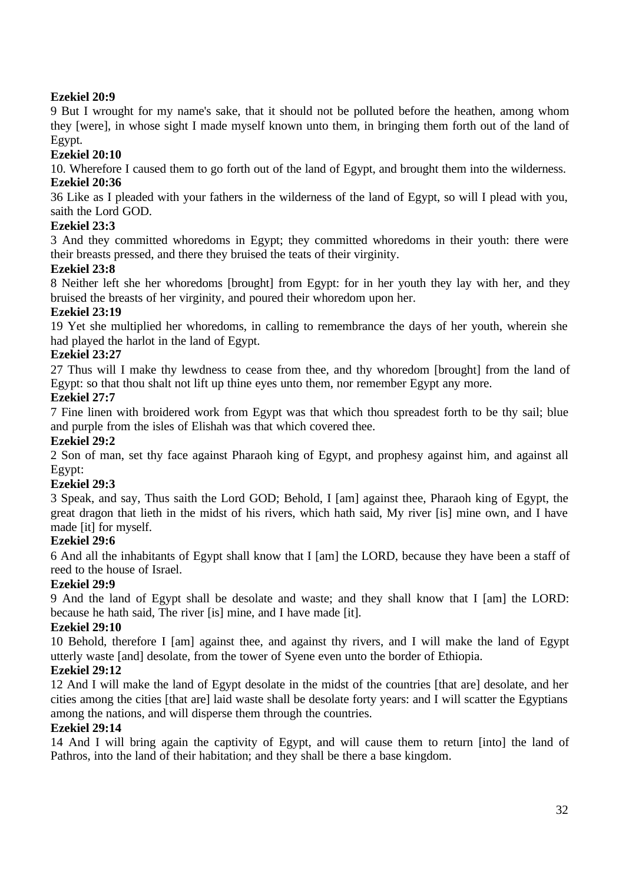# **Ezekiel 20:9**

9 But I wrought for my name's sake, that it should not be polluted before the heathen, among whom they [were], in whose sight I made myself known unto them, in bringing them forth out of the land of Egypt.

# **Ezekiel 20:10**

10. Wherefore I caused them to go forth out of the land of Egypt, and brought them into the wilderness. **Ezekiel 20:36**

36 Like as I pleaded with your fathers in the wilderness of the land of Egypt, so will I plead with you, saith the Lord GOD.

# **Ezekiel 23:3**

3 And they committed whoredoms in Egypt; they committed whoredoms in their youth: there were their breasts pressed, and there they bruised the teats of their virginity.

# **Ezekiel 23:8**

8 Neither left she her whoredoms [brought] from Egypt: for in her youth they lay with her, and they bruised the breasts of her virginity, and poured their whoredom upon her.

# **Ezekiel 23:19**

19 Yet she multiplied her whoredoms, in calling to remembrance the days of her youth, wherein she had played the harlot in the land of Egypt.

# **Ezekiel 23:27**

27 Thus will I make thy lewdness to cease from thee, and thy whoredom [brought] from the land of Egypt: so that thou shalt not lift up thine eyes unto them, nor remember Egypt any more.

# **Ezekiel 27:7**

7 Fine linen with broidered work from Egypt was that which thou spreadest forth to be thy sail; blue and purple from the isles of Elishah was that which covered thee.

# **Ezekiel 29:2**

2 Son of man, set thy face against Pharaoh king of Egypt, and prophesy against him, and against all Egypt:

# **Ezekiel 29:3**

3 Speak, and say, Thus saith the Lord GOD; Behold, I [am] against thee, Pharaoh king of Egypt, the great dragon that lieth in the midst of his rivers, which hath said, My river [is] mine own, and I have made [it] for myself.

# **Ezekiel 29:6**

6 And all the inhabitants of Egypt shall know that I [am] the LORD, because they have been a staff of reed to the house of Israel.

# **Ezekiel 29:9**

9 And the land of Egypt shall be desolate and waste; and they shall know that I [am] the LORD: because he hath said, The river [is] mine, and I have made [it].

# **Ezekiel 29:10**

10 Behold, therefore I [am] against thee, and against thy rivers, and I will make the land of Egypt utterly waste [and] desolate, from the tower of Syene even unto the border of Ethiopia.

# **Ezekiel 29:12**

12 And I will make the land of Egypt desolate in the midst of the countries [that are] desolate, and her cities among the cities [that are] laid waste shall be desolate forty years: and I will scatter the Egyptians among the nations, and will disperse them through the countries.

# **Ezekiel 29:14**

14 And I will bring again the captivity of Egypt, and will cause them to return [into] the land of Pathros, into the land of their habitation; and they shall be there a base kingdom.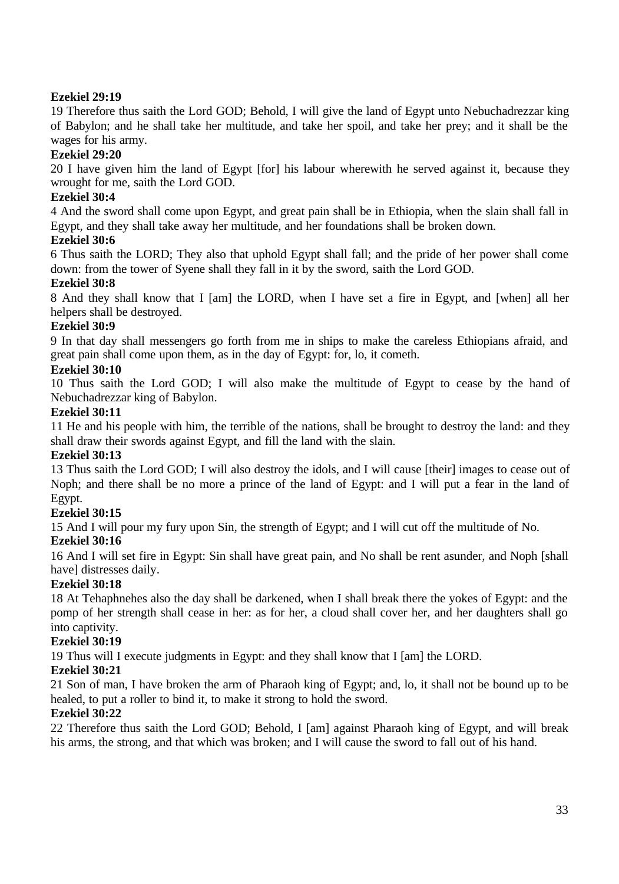# **Ezekiel 29:19**

19 Therefore thus saith the Lord GOD; Behold, I will give the land of Egypt unto Nebuchadrezzar king of Babylon; and he shall take her multitude, and take her spoil, and take her prey; and it shall be the wages for his army.

# **Ezekiel 29:20**

20 I have given him the land of Egypt [for] his labour wherewith he served against it, because they wrought for me, saith the Lord GOD.

# **Ezekiel 30:4**

4 And the sword shall come upon Egypt, and great pain shall be in Ethiopia, when the slain shall fall in Egypt, and they shall take away her multitude, and her foundations shall be broken down.

# **Ezekiel 30:6**

6 Thus saith the LORD; They also that uphold Egypt shall fall; and the pride of her power shall come down: from the tower of Syene shall they fall in it by the sword, saith the Lord GOD.

# **Ezekiel 30:8**

8 And they shall know that I [am] the LORD, when I have set a fire in Egypt, and [when] all her helpers shall be destroyed.

# **Ezekiel 30:9**

9 In that day shall messengers go forth from me in ships to make the careless Ethiopians afraid, and great pain shall come upon them, as in the day of Egypt: for, lo, it cometh.

# **Ezekiel 30:10**

10 Thus saith the Lord GOD; I will also make the multitude of Egypt to cease by the hand of Nebuchadrezzar king of Babylon.

# **Ezekiel 30:11**

11 He and his people with him, the terrible of the nations, shall be brought to destroy the land: and they shall draw their swords against Egypt, and fill the land with the slain.

# **Ezekiel 30:13**

13 Thus saith the Lord GOD; I will also destroy the idols, and I will cause [their] images to cease out of Noph; and there shall be no more a prince of the land of Egypt: and I will put a fear in the land of Egypt.

# **Ezekiel 30:15**

15 And I will pour my fury upon Sin, the strength of Egypt; and I will cut off the multitude of No.

# **Ezekiel 30:16**

16 And I will set fire in Egypt: Sin shall have great pain, and No shall be rent asunder, and Noph [shall have] distresses daily.

# **Ezekiel 30:18**

18 At Tehaphnehes also the day shall be darkened, when I shall break there the yokes of Egypt: and the pomp of her strength shall cease in her: as for her, a cloud shall cover her, and her daughters shall go into captivity.

# **Ezekiel 30:19**

19 Thus will I execute judgments in Egypt: and they shall know that I [am] the LORD.

# **Ezekiel 30:21**

21 Son of man, I have broken the arm of Pharaoh king of Egypt; and, lo, it shall not be bound up to be healed, to put a roller to bind it, to make it strong to hold the sword.

# **Ezekiel 30:22**

22 Therefore thus saith the Lord GOD; Behold, I [am] against Pharaoh king of Egypt, and will break his arms, the strong, and that which was broken; and I will cause the sword to fall out of his hand.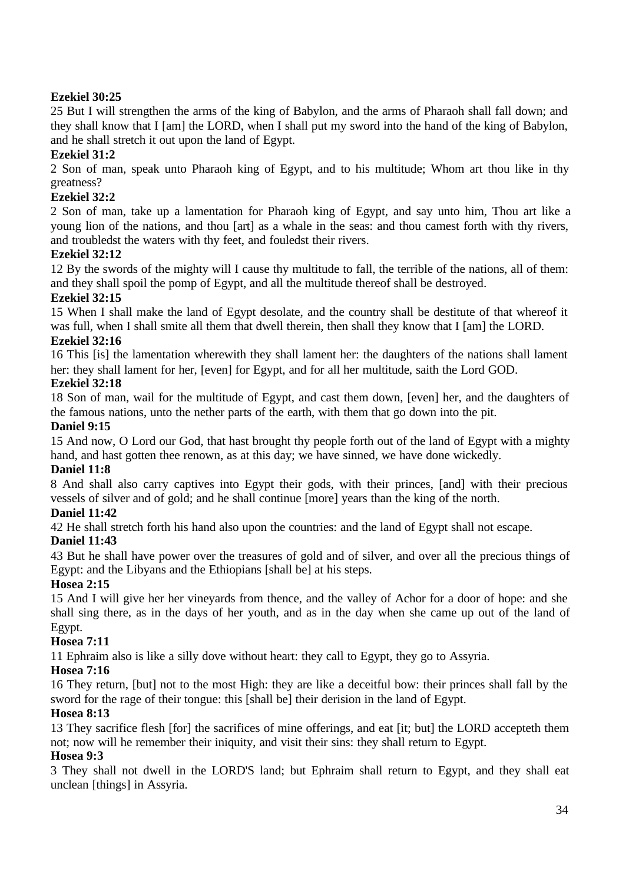# **Ezekiel 30:25**

25 But I will strengthen the arms of the king of Babylon, and the arms of Pharaoh shall fall down; and they shall know that I [am] the LORD, when I shall put my sword into the hand of the king of Babylon, and he shall stretch it out upon the land of Egypt.

# **Ezekiel 31:2**

2 Son of man, speak unto Pharaoh king of Egypt, and to his multitude; Whom art thou like in thy greatness?

# **Ezekiel 32:2**

2 Son of man, take up a lamentation for Pharaoh king of Egypt, and say unto him, Thou art like a young lion of the nations, and thou [art] as a whale in the seas: and thou camest forth with thy rivers, and troubledst the waters with thy feet, and fouledst their rivers.

# **Ezekiel 32:12**

12 By the swords of the mighty will I cause thy multitude to fall, the terrible of the nations, all of them: and they shall spoil the pomp of Egypt, and all the multitude thereof shall be destroyed.

## **Ezekiel 32:15**

15 When I shall make the land of Egypt desolate, and the country shall be destitute of that whereof it was full, when I shall smite all them that dwell therein, then shall they know that I [am] the LORD.

## **Ezekiel 32:16**

16 This [is] the lamentation wherewith they shall lament her: the daughters of the nations shall lament her: they shall lament for her, [even] for Egypt, and for all her multitude, saith the Lord GOD.

## **Ezekiel 32:18**

18 Son of man, wail for the multitude of Egypt, and cast them down, [even] her, and the daughters of the famous nations, unto the nether parts of the earth, with them that go down into the pit.

## **Daniel 9:15**

15 And now, O Lord our God, that hast brought thy people forth out of the land of Egypt with a mighty hand, and hast gotten thee renown, as at this day; we have sinned, we have done wickedly.

## **Daniel 11:8**

8 And shall also carry captives into Egypt their gods, with their princes, [and] with their precious vessels of silver and of gold; and he shall continue [more] years than the king of the north.

# **Daniel 11:42**

42 He shall stretch forth his hand also upon the countries: and the land of Egypt shall not escape.

## **Daniel 11:43**

43 But he shall have power over the treasures of gold and of silver, and over all the precious things of Egypt: and the Libyans and the Ethiopians [shall be] at his steps.

# **Hosea 2:15**

15 And I will give her her vineyards from thence, and the valley of Achor for a door of hope: and she shall sing there, as in the days of her youth, and as in the day when she came up out of the land of Egypt.

## **Hosea 7:11**

11 Ephraim also is like a silly dove without heart: they call to Egypt, they go to Assyria.

## **Hosea 7:16**

16 They return, [but] not to the most High: they are like a deceitful bow: their princes shall fall by the sword for the rage of their tongue: this [shall be] their derision in the land of Egypt.

## **Hosea 8:13**

13 They sacrifice flesh [for] the sacrifices of mine offerings, and eat [it; but] the LORD accepteth them not; now will he remember their iniquity, and visit their sins: they shall return to Egypt.

# **Hosea 9:3**

3 They shall not dwell in the LORD'S land; but Ephraim shall return to Egypt, and they shall eat unclean [things] in Assyria.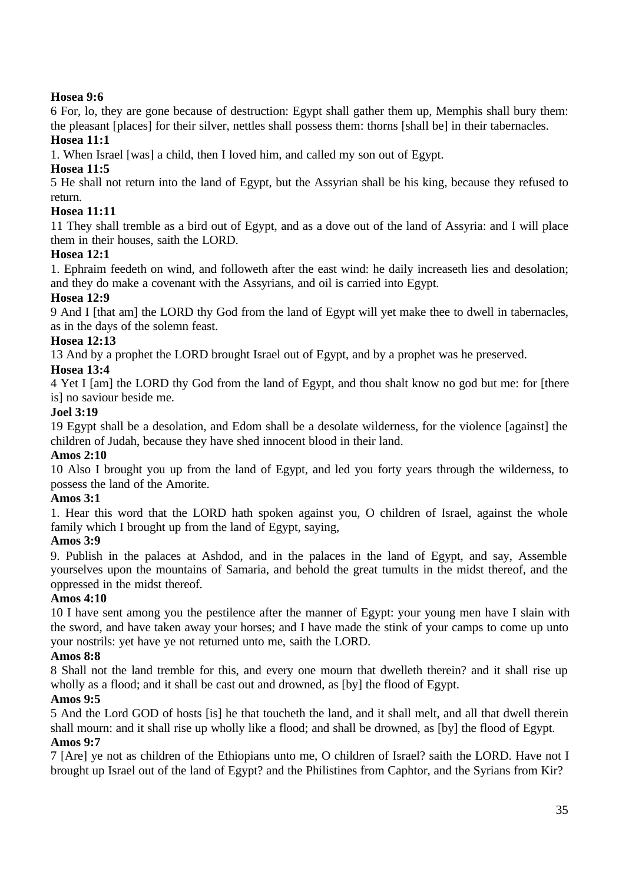# **Hosea 9:6**

6 For, lo, they are gone because of destruction: Egypt shall gather them up, Memphis shall bury them: the pleasant [places] for their silver, nettles shall possess them: thorns [shall be] in their tabernacles.

# **Hosea 11:1**

1. When Israel [was] a child, then I loved him, and called my son out of Egypt.

# **Hosea 11:5**

5 He shall not return into the land of Egypt, but the Assyrian shall be his king, because they refused to return.

# **Hosea 11:11**

11 They shall tremble as a bird out of Egypt, and as a dove out of the land of Assyria: and I will place them in their houses, saith the LORD.

# **Hosea 12:1**

1. Ephraim feedeth on wind, and followeth after the east wind: he daily increaseth lies and desolation; and they do make a covenant with the Assyrians, and oil is carried into Egypt.

# **Hosea 12:9**

9 And I [that am] the LORD thy God from the land of Egypt will yet make thee to dwell in tabernacles, as in the days of the solemn feast.

# **Hosea 12:13**

13 And by a prophet the LORD brought Israel out of Egypt, and by a prophet was he preserved.

# **Hosea 13:4**

4 Yet I [am] the LORD thy God from the land of Egypt, and thou shalt know no god but me: for [there is] no saviour beside me.

# **Joel 3:19**

19 Egypt shall be a desolation, and Edom shall be a desolate wilderness, for the violence [against] the children of Judah, because they have shed innocent blood in their land.

# **Amos 2:10**

10 Also I brought you up from the land of Egypt, and led you forty years through the wilderness, to possess the land of the Amorite.

# **Amos 3:1**

1. Hear this word that the LORD hath spoken against you, O children of Israel, against the whole family which I brought up from the land of Egypt, saying,

# **Amos 3:9**

9. Publish in the palaces at Ashdod, and in the palaces in the land of Egypt, and say, Assemble yourselves upon the mountains of Samaria, and behold the great tumults in the midst thereof, and the oppressed in the midst thereof.

# **Amos 4:10**

10 I have sent among you the pestilence after the manner of Egypt: your young men have I slain with the sword, and have taken away your horses; and I have made the stink of your camps to come up unto your nostrils: yet have ye not returned unto me, saith the LORD.

# **Amos 8:8**

8 Shall not the land tremble for this, and every one mourn that dwelleth therein? and it shall rise up wholly as a flood; and it shall be cast out and drowned, as [by] the flood of Egypt.

# **Amos 9:5**

5 And the Lord GOD of hosts [is] he that toucheth the land, and it shall melt, and all that dwell therein shall mourn: and it shall rise up wholly like a flood; and shall be drowned, as [by] the flood of Egypt.

# **Amos 9:7**

7 [Are] ye not as children of the Ethiopians unto me, O children of Israel? saith the LORD. Have not I brought up Israel out of the land of Egypt? and the Philistines from Caphtor, and the Syrians from Kir?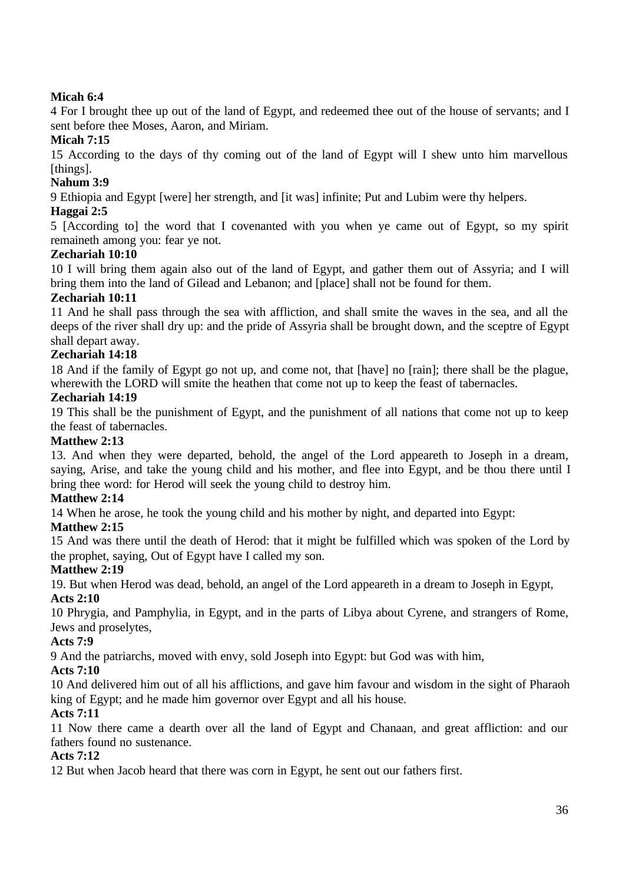# **Micah 6:4**

4 For I brought thee up out of the land of Egypt, and redeemed thee out of the house of servants; and I sent before thee Moses, Aaron, and Miriam.

# **Micah 7:15**

15 According to the days of thy coming out of the land of Egypt will I shew unto him marvellous [things].

# **Nahum 3:9**

9 Ethiopia and Egypt [were] her strength, and [it was] infinite; Put and Lubim were thy helpers.

# **Haggai 2:5**

5 [According to] the word that I covenanted with you when ye came out of Egypt, so my spirit remaineth among you: fear ye not.

# **Zechariah 10:10**

10 I will bring them again also out of the land of Egypt, and gather them out of Assyria; and I will bring them into the land of Gilead and Lebanon; and [place] shall not be found for them.

## **Zechariah 10:11**

11 And he shall pass through the sea with affliction, and shall smite the waves in the sea, and all the deeps of the river shall dry up: and the pride of Assyria shall be brought down, and the sceptre of Egypt shall depart away.

## **Zechariah 14:18**

18 And if the family of Egypt go not up, and come not, that [have] no [rain]; there shall be the plague, wherewith the LORD will smite the heathen that come not up to keep the feast of tabernacles.

## **Zechariah 14:19**

19 This shall be the punishment of Egypt, and the punishment of all nations that come not up to keep the feast of tabernacles.

## **Matthew 2:13**

13. And when they were departed, behold, the angel of the Lord appeareth to Joseph in a dream, saying, Arise, and take the young child and his mother, and flee into Egypt, and be thou there until I bring thee word: for Herod will seek the young child to destroy him.

# **Matthew 2:14**

14 When he arose, he took the young child and his mother by night, and departed into Egypt:

# **Matthew 2:15**

15 And was there until the death of Herod: that it might be fulfilled which was spoken of the Lord by the prophet, saying, Out of Egypt have I called my son.

# **Matthew 2:19**

19. But when Herod was dead, behold, an angel of the Lord appeareth in a dream to Joseph in Egypt, **Acts 2:10**

10 Phrygia, and Pamphylia, in Egypt, and in the parts of Libya about Cyrene, and strangers of Rome, Jews and proselytes,

# **Acts 7:9**

9 And the patriarchs, moved with envy, sold Joseph into Egypt: but God was with him,

# **Acts 7:10**

10 And delivered him out of all his afflictions, and gave him favour and wisdom in the sight of Pharaoh king of Egypt; and he made him governor over Egypt and all his house.

# **Acts 7:11**

11 Now there came a dearth over all the land of Egypt and Chanaan, and great affliction: and our fathers found no sustenance.

# **Acts 7:12**

12 But when Jacob heard that there was corn in Egypt, he sent out our fathers first.